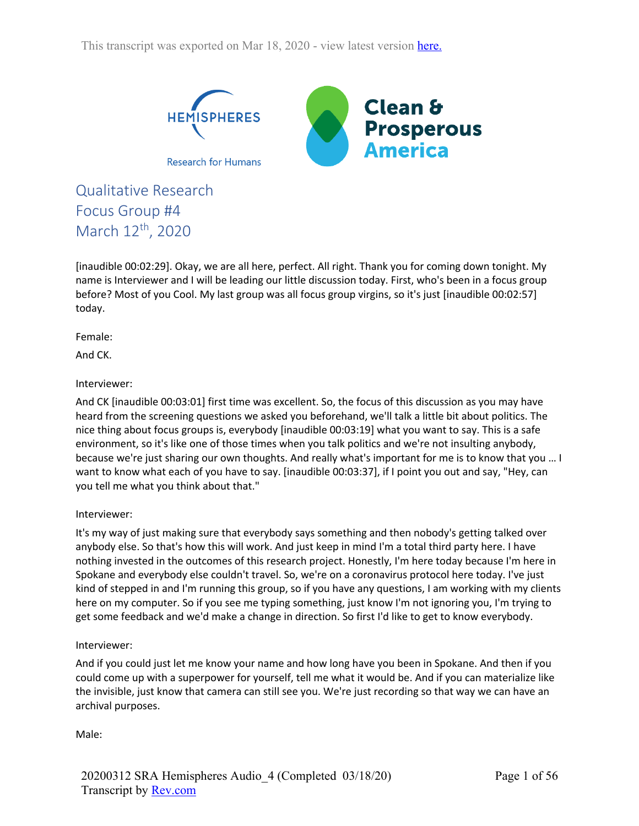

Qualitative Research Focus Group #4 March 12<sup>th</sup>, 2020

[inaudible 00:02:29]. Okay, we are all here, perfect. All right. Thank you for coming down tonight. My name is Interviewer and I will be leading our little discussion today. First, who's been in a focus group before? Most of you Cool. My last group was all focus group virgins, so it's just [inaudible 00:02:57] today.

Female:

And CK.

## Interviewer:

And CK [inaudible 00:03:01] first time was excellent. So, the focus of this discussion as you may have heard from the screening questions we asked you beforehand, we'll talk a little bit about politics. The nice thing about focus groups is, everybody [inaudible 00:03:19] what you want to say. This is a safe environment, so it's like one of those times when you talk politics and we're not insulting anybody, because we're just sharing our own thoughts. And really what's important for me is to know that you … I want to know what each of you have to say. [inaudible 00:03:37], if I point you out and say, "Hey, can you tell me what you think about that."

### Interviewer:

It's my way of just making sure that everybody says something and then nobody's getting talked over anybody else. So that's how this will work. And just keep in mind I'm a total third party here. I have nothing invested in the outcomes of this research project. Honestly, I'm here today because I'm here in Spokane and everybody else couldn't travel. So, we're on a coronavirus protocol here today. I've just kind of stepped in and I'm running this group, so if you have any questions, I am working with my clients here on my computer. So if you see me typing something, just know I'm not ignoring you, I'm trying to get some feedback and we'd make a change in direction. So first I'd like to get to know everybody.

### Interviewer:

And if you could just let me know your name and how long have you been in Spokane. And then if you could come up with a superpower for yourself, tell me what it would be. And if you can materialize like the invisible, just know that camera can still see you. We're just recording so that way we can have an archival purposes.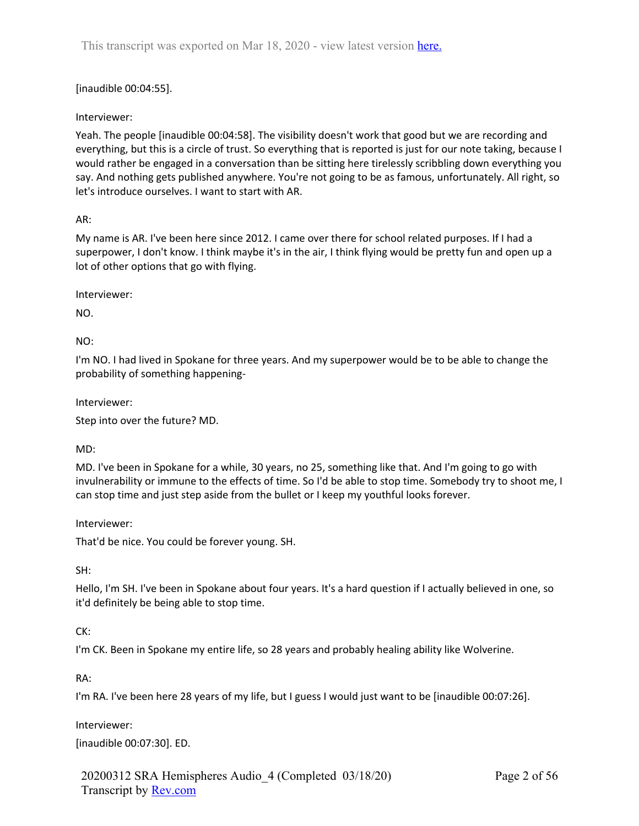# [inaudible 00:04:55].

# Interviewer:

Yeah. The people [inaudible 00:04:58]. The visibility doesn't work that good but we are recording and everything, but this is a circle of trust. So everything that is reported is just for our note taking, because I would rather be engaged in a conversation than be sitting here tirelessly scribbling down everything you say. And nothing gets published anywhere. You're not going to be as famous, unfortunately. All right, so let's introduce ourselves. I want to start with AR.

## AR:

My name is AR. I've been here since 2012. I came over there for school related purposes. If I had a superpower, I don't know. I think maybe it's in the air, I think flying would be pretty fun and open up a lot of other options that go with flying.

Interviewer:

NO.

 $NO:$ 

I'm NO. I had lived in Spokane for three years. And my superpower would be to be able to change the probability of something happening-

Interviewer:

Step into over the future? MD.

# MD:

MD. I've been in Spokane for a while, 30 years, no 25, something like that. And I'm going to go with invulnerability or immune to the effects of time. So I'd be able to stop time. Somebody try to shoot me, I can stop time and just step aside from the bullet or I keep my youthful looks forever.

Interviewer:

That'd be nice. You could be forever young. SH.

SH:

Hello, I'm SH. I've been in Spokane about four years. It's a hard question if I actually believed in one, so it'd definitely be being able to stop time.

# CK:

I'm CK. Been in Spokane my entire life, so 28 years and probably healing ability like Wolverine.

RA:

I'm RA. I've been here 28 years of my life, but I guess I would just want to be [inaudible 00:07:26].

Interviewer:

[inaudible 00:07:30]. ED.

20200312 SRA Hemispheres Audio\_4 (Completed 03/18/20) Transcript by Rev.com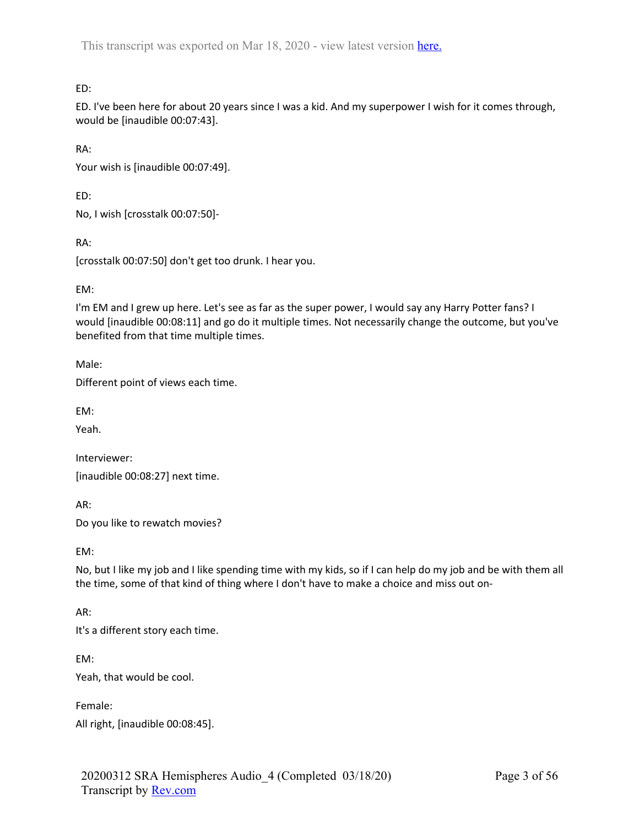ED:

ED. I've been here for about 20 years since I was a kid. And my superpower I wish for it comes through, would be [inaudible 00:07:43].

RA:

Your wish is [inaudible 00:07:49].

ED:

No, I wish [crosstalk 00:07:50]-

RA:

[crosstalk 00:07:50] don't get too drunk. I hear you.

## EM:

I'm EM and I grew up here. Let's see as far as the super power, I would say any Harry Potter fans? I would [inaudible 00:08:11] and go do it multiple times. Not necessarily change the outcome, but you've benefited from that time multiple times.

Male:

Different point of views each time.

EM:

Yeah.

Interviewer: [inaudible 00:08:27] next time.

AR: Do you like to rewatch movies?

EM:

No, but I like my job and I like spending time with my kids, so if I can help do my job and be with them all the time, some of that kind of thing where I don't have to make a choice and miss out on-

AR:

It's a different story each time.

EM:

Yeah, that would be cool.

Female:

All right, [inaudible 00:08:45].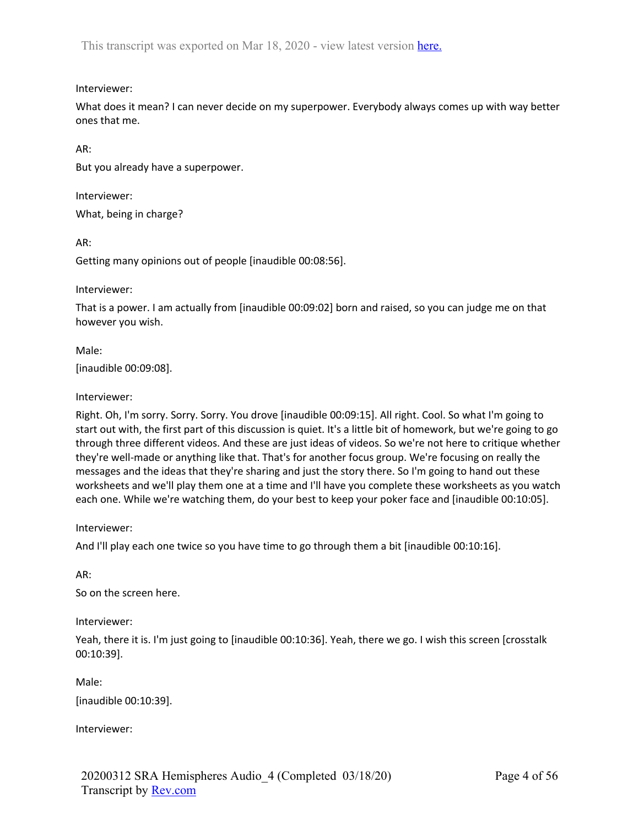# Interviewer:

What does it mean? I can never decide on my superpower. Everybody always comes up with way better ones that me.

AR:

But you already have a superpower.

Interviewer:

What, being in charge?

AR:

Getting many opinions out of people [inaudible 00:08:56].

Interviewer:

That is a power. I am actually from [inaudible 00:09:02] born and raised, so you can judge me on that however you wish.

Male: [inaudible 00:09:08].

## Interviewer:

Right. Oh, I'm sorry. Sorry. Sorry. You drove [inaudible 00:09:15]. All right. Cool. So what I'm going to start out with, the first part of this discussion is quiet. It's a little bit of homework, but we're going to go through three different videos. And these are just ideas of videos. So we're not here to critique whether they're well-made or anything like that. That's for another focus group. We're focusing on really the messages and the ideas that they're sharing and just the story there. So I'm going to hand out these worksheets and we'll play them one at a time and I'll have you complete these worksheets as you watch each one. While we're watching them, do your best to keep your poker face and [inaudible 00:10:05].

Interviewer:

And I'll play each one twice so you have time to go through them a bit [inaudible 00:10:16].

AR:

So on the screen here.

Interviewer:

Yeah, there it is. I'm just going to [inaudible 00:10:36]. Yeah, there we go. I wish this screen [crosstalk 00:10:39].

Male:

[inaudible 00:10:39].

Interviewer: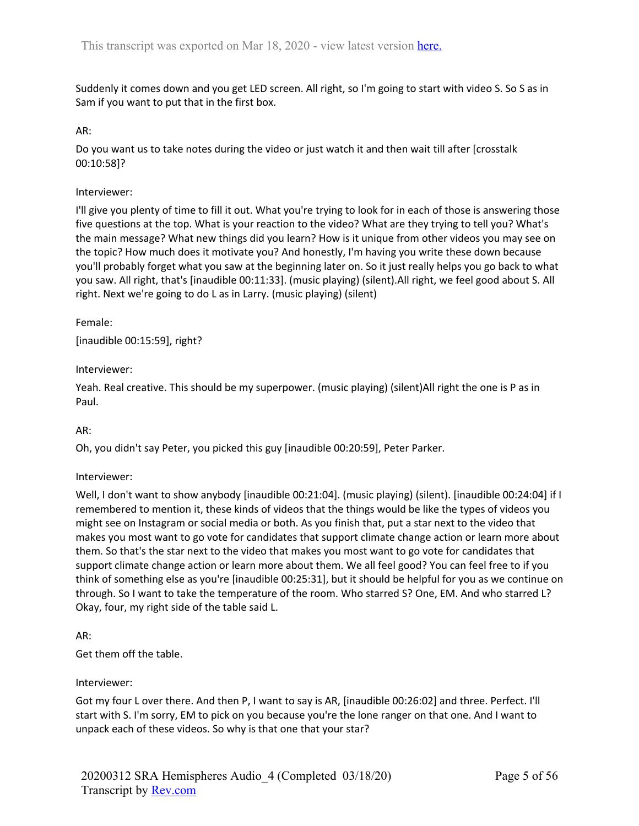Suddenly it comes down and you get LED screen. All right, so I'm going to start with video S. So S as in Sam if you want to put that in the first box.

#### AR:

Do you want us to take notes during the video or just watch it and then wait till after [crosstalk 00:10:58]?

#### Interviewer:

I'll give you plenty of time to fill it out. What you're trying to look for in each of those is answering those five questions at the top. What is your reaction to the video? What are they trying to tell you? What's the main message? What new things did you learn? How is it unique from other videos you may see on the topic? How much does it motivate you? And honestly, I'm having you write these down because you'll probably forget what you saw at the beginning later on. So it just really helps you go back to what you saw. All right, that's [inaudible 00:11:33]. (music playing) (silent).All right, we feel good about S. All right. Next we're going to do L as in Larry. (music playing) (silent)

### Female:

[inaudible 00:15:59], right?

### Interviewer:

Yeah. Real creative. This should be my superpower. (music playing) (silent)All right the one is P as in Paul.

### AR:

Oh, you didn't say Peter, you picked this guy [inaudible 00:20:59], Peter Parker.

### Interviewer:

Well, I don't want to show anybody [inaudible 00:21:04]. (music playing) (silent). [inaudible 00:24:04] if I remembered to mention it, these kinds of videos that the things would be like the types of videos you might see on Instagram or social media or both. As you finish that, put a star next to the video that makes you most want to go vote for candidates that support climate change action or learn more about them. So that's the star next to the video that makes you most want to go vote for candidates that support climate change action or learn more about them. We all feel good? You can feel free to if you think of something else as you're [inaudible 00:25:31], but it should be helpful for you as we continue on through. So I want to take the temperature of the room. Who starred S? One, EM. And who starred L? Okay, four, my right side of the table said L.

AR:

Get them off the table.

### Interviewer:

Got my four L over there. And then P, I want to say is AR, [inaudible 00:26:02] and three. Perfect. I'll start with S. I'm sorry, EM to pick on you because you're the lone ranger on that one. And I want to unpack each of these videos. So why is that one that your star?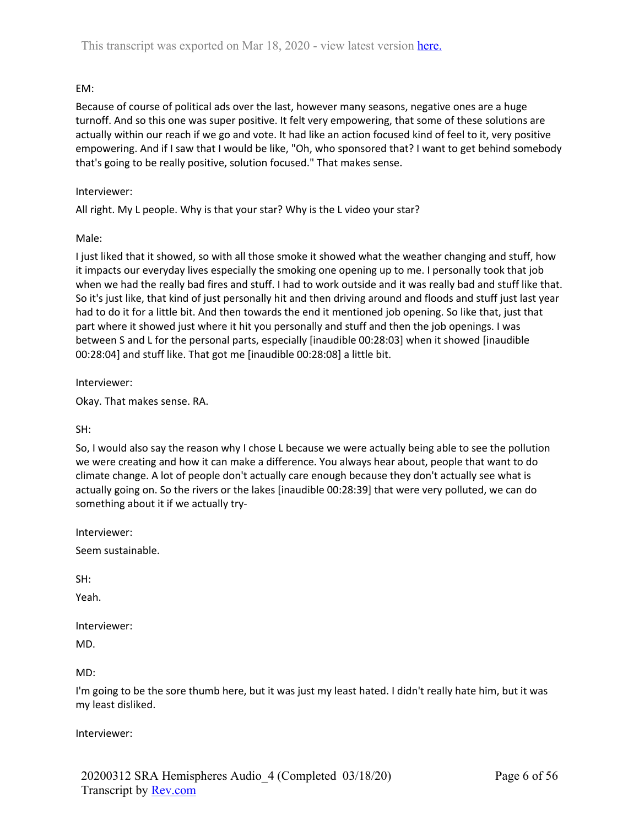# EM:

Because of course of political ads over the last, however many seasons, negative ones are a huge turnoff. And so this one was super positive. It felt very empowering, that some of these solutions are actually within our reach if we go and vote. It had like an action focused kind of feel to it, very positive empowering. And if I saw that I would be like, "Oh, who sponsored that? I want to get behind somebody that's going to be really positive, solution focused." That makes sense.

# Interviewer:

All right. My L people. Why is that your star? Why is the L video your star?

# Male:

I just liked that it showed, so with all those smoke it showed what the weather changing and stuff, how it impacts our everyday lives especially the smoking one opening up to me. I personally took that job when we had the really bad fires and stuff. I had to work outside and it was really bad and stuff like that. So it's just like, that kind of just personally hit and then driving around and floods and stuff just last year had to do it for a little bit. And then towards the end it mentioned job opening. So like that, just that part where it showed just where it hit you personally and stuff and then the job openings. I was between S and L for the personal parts, especially [inaudible 00:28:03] when it showed [inaudible 00:28:04] and stuff like. That got me [inaudible 00:28:08] a little bit.

Interviewer:

Okay. That makes sense. RA.

SH:

So, I would also say the reason why I chose L because we were actually being able to see the pollution we were creating and how it can make a difference. You always hear about, people that want to do climate change. A lot of people don't actually care enough because they don't actually see what is actually going on. So the rivers or the lakes [inaudible 00:28:39] that were very polluted, we can do something about it if we actually try-

Interviewer:

Seem sustainable.

SH:

Yeah.

Interviewer: MD.

MD:

I'm going to be the sore thumb here, but it was just my least hated. I didn't really hate him, but it was my least disliked.

Interviewer: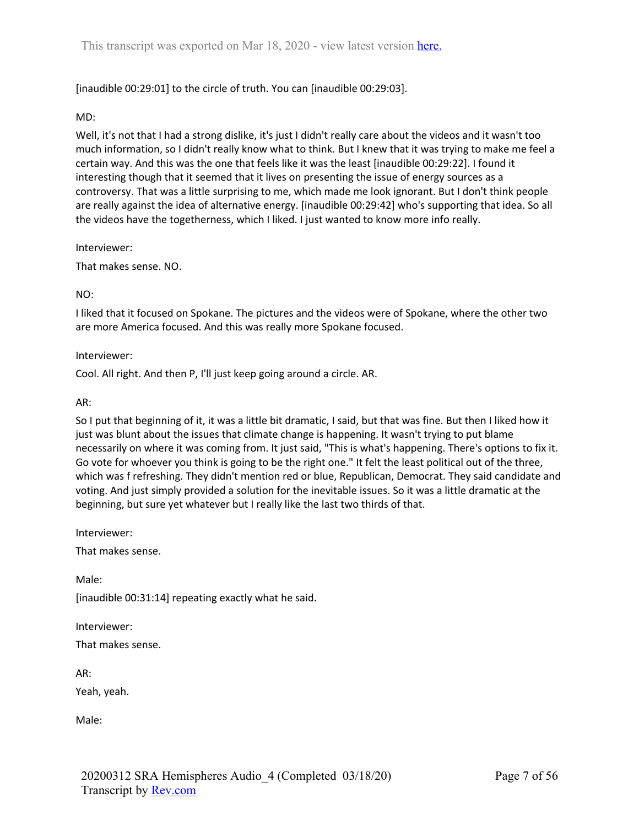## [inaudible 00:29:01] to the circle of truth. You can [inaudible 00:29:03].

#### MD:

Well, it's not that I had a strong dislike, it's just I didn't really care about the videos and it wasn't too much information, so I didn't really know what to think. But I knew that it was trying to make me feel a certain way. And this was the one that feels like it was the least [inaudible 00:29:22]. I found it interesting though that it seemed that it lives on presenting the issue of energy sources as a controversy. That was a little surprising to me, which made me look ignorant. But I don't think people are really against the idea of alternative energy. [inaudible 00:29:42] who's supporting that idea. So all the videos have the togetherness, which I liked. I just wanted to know more info really.

Interviewer:

That makes sense. NO.

### NO:

I liked that it focused on Spokane. The pictures and the videos were of Spokane, where the other two are more America focused. And this was really more Spokane focused.

Interviewer:

Cool. All right. And then P, I'll just keep going around a circle. AR.

#### AR:

So I put that beginning of it, it was a little bit dramatic, I said, but that was fine. But then I liked how it just was blunt about the issues that climate change is happening. It wasn't trying to put blame necessarily on where it was coming from. It just said, "This is what's happening. There's options to fix it. Go vote for whoever you think is going to be the right one." It felt the least political out of the three, which was f refreshing. They didn't mention red or blue, Republican, Democrat. They said candidate and voting. And just simply provided a solution for the inevitable issues. So it was a little dramatic at the beginning, but sure yet whatever but I really like the last two thirds of that.

Interviewer:

That makes sense.

Male:

[inaudible 00:31:14] repeating exactly what he said.

Interviewer:

That makes sense.

AR:

Yeah, yeah.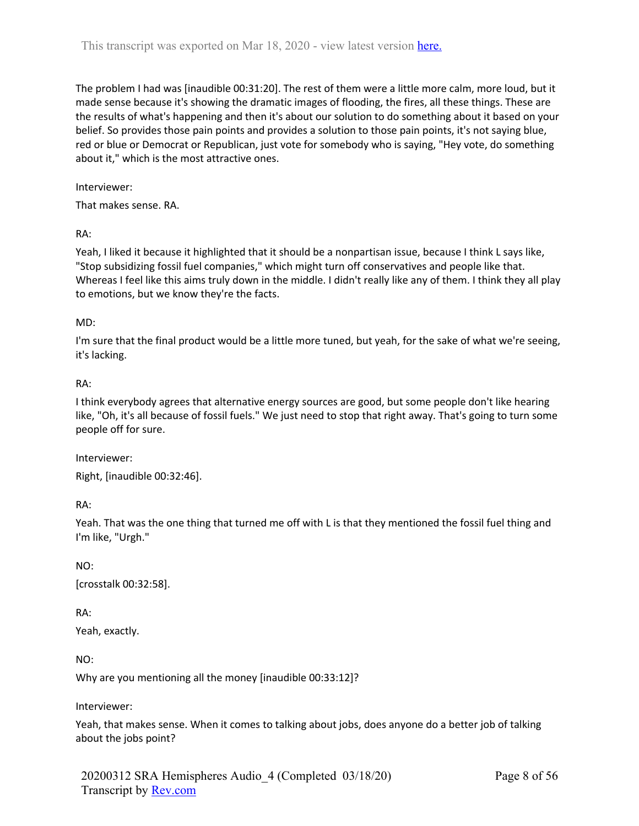The problem I had was [inaudible 00:31:20]. The rest of them were a little more calm, more loud, but it made sense because it's showing the dramatic images of flooding, the fires, all these things. These are the results of what's happening and then it's about our solution to do something about it based on your belief. So provides those pain points and provides a solution to those pain points, it's not saying blue, red or blue or Democrat or Republican, just vote for somebody who is saying, "Hey vote, do something about it," which is the most attractive ones.

Interviewer:

That makes sense. RA.

RA:

Yeah, I liked it because it highlighted that it should be a nonpartisan issue, because I think L says like, "Stop subsidizing fossil fuel companies," which might turn off conservatives and people like that. Whereas I feel like this aims truly down in the middle. I didn't really like any of them. I think they all play to emotions, but we know they're the facts.

### MD:

I'm sure that the final product would be a little more tuned, but yeah, for the sake of what we're seeing, it's lacking.

## RA:

I think everybody agrees that alternative energy sources are good, but some people don't like hearing like, "Oh, it's all because of fossil fuels." We just need to stop that right away. That's going to turn some people off for sure.

Interviewer:

Right, [inaudible 00:32:46].

RA:

Yeah. That was the one thing that turned me off with L is that they mentioned the fossil fuel thing and I'm like, "Urgh."

NO:

[crosstalk 00:32:58].

RA:

Yeah, exactly.

NO:

Why are you mentioning all the money [inaudible 00:33:12]?

Interviewer:

Yeah, that makes sense. When it comes to talking about jobs, does anyone do a better job of talking about the jobs point?

20200312 SRA Hemispheres Audio\_4 (Completed 03/18/20) Transcript by Rev.com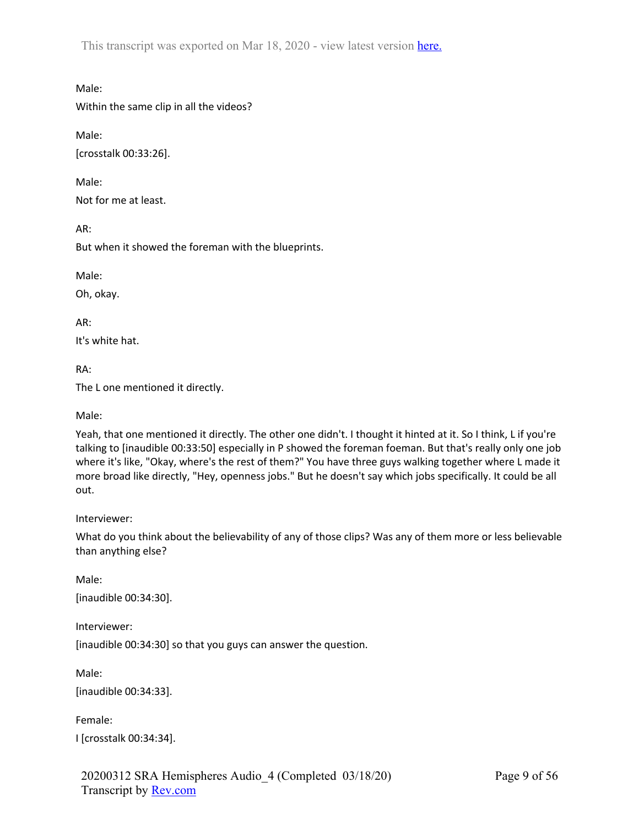Male:

Within the same clip in all the videos?

Male: [crosstalk 00:33:26].

Male: Not for me at least.

AR:

But when it showed the foreman with the blueprints.

Male:

Oh, okay.

AR:

It's white hat.

RA:

The L one mentioned it directly.

Male:

Yeah, that one mentioned it directly. The other one didn't. I thought it hinted at it. So I think, L if you're talking to [inaudible 00:33:50] especially in P showed the foreman foeman. But that's really only one job where it's like, "Okay, where's the rest of them?" You have three guys walking together where L made it more broad like directly, "Hey, openness jobs." But he doesn't say which jobs specifically. It could be all out.

Interviewer:

What do you think about the believability of any of those clips? Was any of them more or less believable than anything else?

Male: [inaudible 00:34:30].

Interviewer:

[inaudible 00:34:30] so that you guys can answer the question.

Male:

[inaudible 00:34:33].

Female:

I [crosstalk 00:34:34].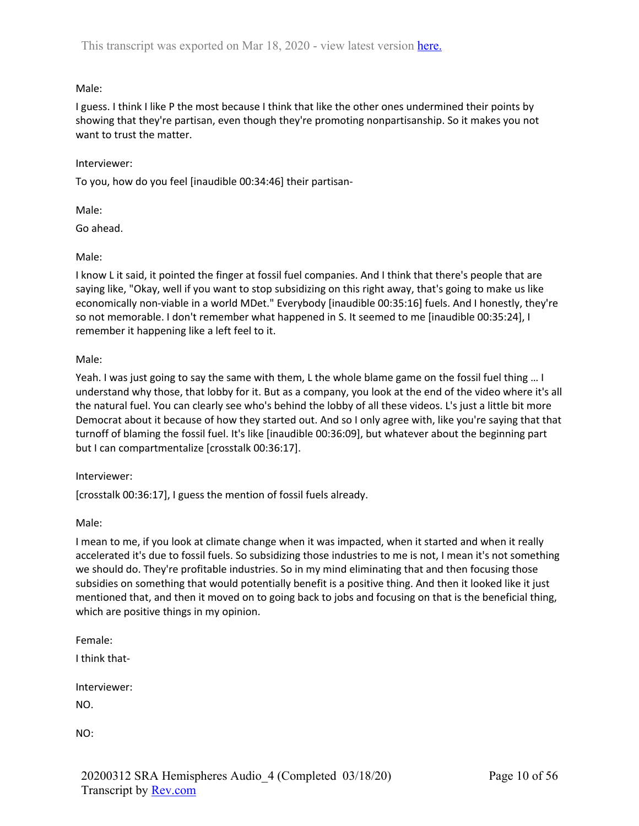# Male:

I guess. I think I like P the most because I think that like the other ones undermined their points by showing that they're partisan, even though they're promoting nonpartisanship. So it makes you not want to trust the matter.

## Interviewer:

To you, how do you feel [inaudible 00:34:46] their partisan-

Male:

Go ahead.

Male:

I know L it said, it pointed the finger at fossil fuel companies. And I think that there's people that are saying like, "Okay, well if you want to stop subsidizing on this right away, that's going to make us like economically non-viable in a world MDet." Everybody [inaudible 00:35:16] fuels. And I honestly, they're so not memorable. I don't remember what happened in S. It seemed to me [inaudible 00:35:24], I remember it happening like a left feel to it.

Male:

Yeah. I was just going to say the same with them, L the whole blame game on the fossil fuel thing … I understand why those, that lobby for it. But as a company, you look at the end of the video where it's all the natural fuel. You can clearly see who's behind the lobby of all these videos. L's just a little bit more Democrat about it because of how they started out. And so I only agree with, like you're saying that that turnoff of blaming the fossil fuel. It's like [inaudible 00:36:09], but whatever about the beginning part but I can compartmentalize [crosstalk 00:36:17].

### Interviewer:

[crosstalk 00:36:17], I guess the mention of fossil fuels already.

Male:

I mean to me, if you look at climate change when it was impacted, when it started and when it really accelerated it's due to fossil fuels. So subsidizing those industries to me is not, I mean it's not something we should do. They're profitable industries. So in my mind eliminating that and then focusing those subsidies on something that would potentially benefit is a positive thing. And then it looked like it just mentioned that, and then it moved on to going back to jobs and focusing on that is the beneficial thing, which are positive things in my opinion.

Female:

I think that-

Interviewer:

NO.

NO: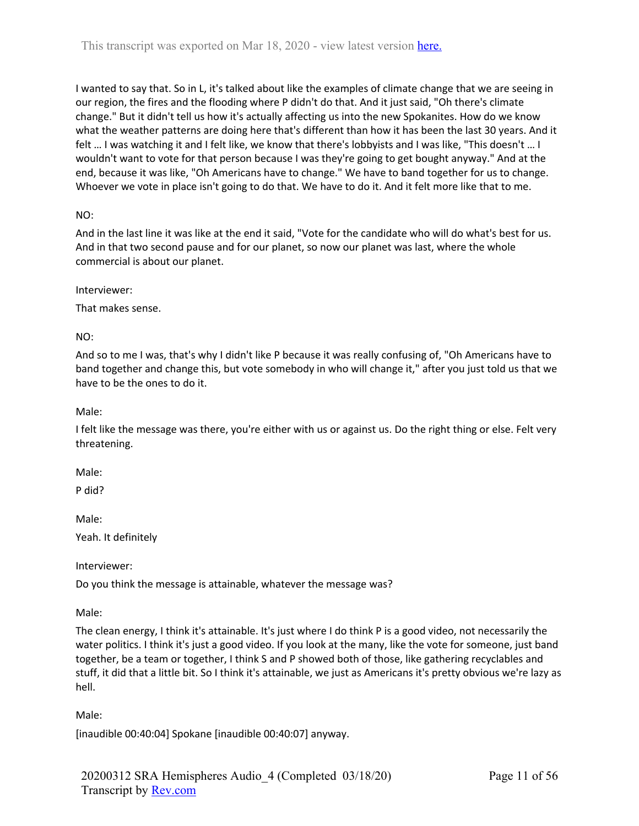I wanted to say that. So in L, it's talked about like the examples of climate change that we are seeing in our region, the fires and the flooding where P didn't do that. And it just said, "Oh there's climate change." But it didn't tell us how it's actually affecting us into the new Spokanites. How do we know what the weather patterns are doing here that's different than how it has been the last 30 years. And it felt … I was watching it and I felt like, we know that there's lobbyists and I was like, "This doesn't … I wouldn't want to vote for that person because I was they're going to get bought anyway." And at the end, because it was like, "Oh Americans have to change." We have to band together for us to change. Whoever we vote in place isn't going to do that. We have to do it. And it felt more like that to me.

# NO:

And in the last line it was like at the end it said, "Vote for the candidate who will do what's best for us. And in that two second pause and for our planet, so now our planet was last, where the whole commercial is about our planet.

Interviewer:

That makes sense.

NO:

And so to me I was, that's why I didn't like P because it was really confusing of, "Oh Americans have to band together and change this, but vote somebody in who will change it," after you just told us that we have to be the ones to do it.

Male:

I felt like the message was there, you're either with us or against us. Do the right thing or else. Felt very threatening.

Male:

P did?

Male:

Yeah. It definitely

Interviewer:

Do you think the message is attainable, whatever the message was?

Male:

The clean energy, I think it's attainable. It's just where I do think P is a good video, not necessarily the water politics. I think it's just a good video. If you look at the many, like the vote for someone, just band together, be a team or together, I think S and P showed both of those, like gathering recyclables and stuff, it did that a little bit. So I think it's attainable, we just as Americans it's pretty obvious we're lazy as hell.

Male:

[inaudible 00:40:04] Spokane [inaudible 00:40:07] anyway.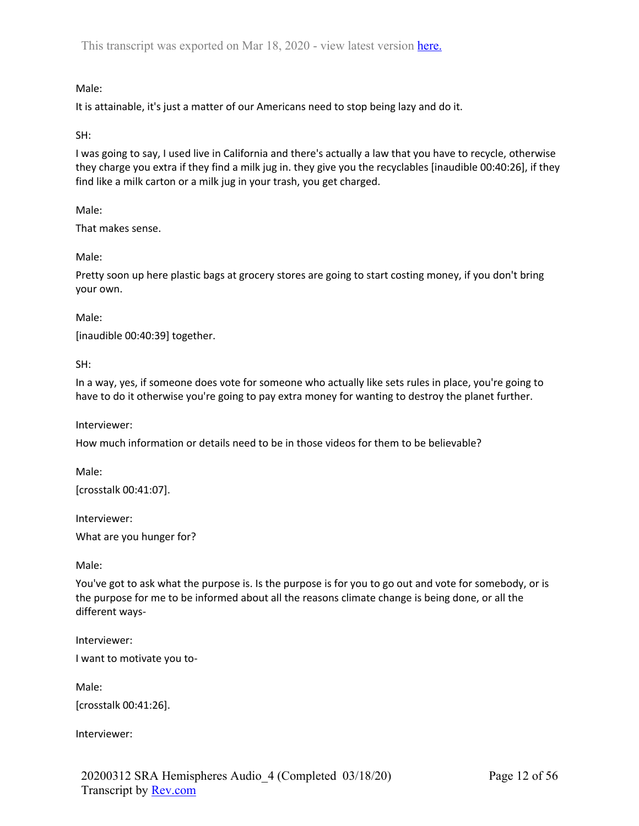# Male:

It is attainable, it's just a matter of our Americans need to stop being lazy and do it.

# SH:

I was going to say, I used live in California and there's actually a law that you have to recycle, otherwise they charge you extra if they find a milk jug in. they give you the recyclables [inaudible 00:40:26], if they find like a milk carton or a milk jug in your trash, you get charged.

Male:

That makes sense.

## Male:

Pretty soon up here plastic bags at grocery stores are going to start costing money, if you don't bring your own.

## Male:

[inaudible 00:40:39] together.

SH:

In a way, yes, if someone does vote for someone who actually like sets rules in place, you're going to have to do it otherwise you're going to pay extra money for wanting to destroy the planet further.

Interviewer:

How much information or details need to be in those videos for them to be believable?

Male: [crosstalk 00:41:07].

Interviewer:

What are you hunger for?

Male:

You've got to ask what the purpose is. Is the purpose is for you to go out and vote for somebody, or is the purpose for me to be informed about all the reasons climate change is being done, or all the different ways-

Interviewer:

I want to motivate you to-

Male:

[crosstalk 00:41:26].

Interviewer: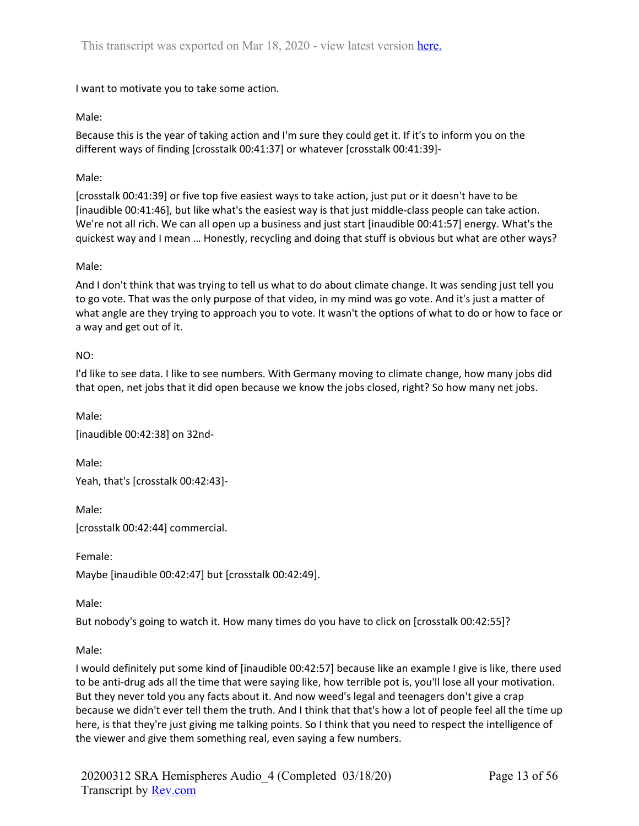I want to motivate you to take some action.

# Male:

Because this is the year of taking action and I'm sure they could get it. If it's to inform you on the different ways of finding [crosstalk 00:41:37] or whatever [crosstalk 00:41:39]-

## Male:

[crosstalk 00:41:39] or five top five easiest ways to take action, just put or it doesn't have to be [inaudible 00:41:46], but like what's the easiest way is that just middle-class people can take action. We're not all rich. We can all open up a business and just start [inaudible 00:41:57] energy. What's the quickest way and I mean … Honestly, recycling and doing that stuff is obvious but what are other ways?

## Male:

And I don't think that was trying to tell us what to do about climate change. It was sending just tell you to go vote. That was the only purpose of that video, in my mind was go vote. And it's just a matter of what angle are they trying to approach you to vote. It wasn't the options of what to do or how to face or a way and get out of it.

## NO:

I'd like to see data. I like to see numbers. With Germany moving to climate change, how many jobs did that open, net jobs that it did open because we know the jobs closed, right? So how many net jobs.

Male: [inaudible 00:42:38] on 32nd-

Male:

Yeah, that's [crosstalk 00:42:43]-

Male:

[crosstalk 00:42:44] commercial.

Female: Maybe [inaudible 00:42:47] but [crosstalk 00:42:49].

Male:

But nobody's going to watch it. How many times do you have to click on [crosstalk 00:42:55]?

Male:

I would definitely put some kind of [inaudible 00:42:57] because like an example I give is like, there used to be anti-drug ads all the time that were saying like, how terrible pot is, you'll lose all your motivation. But they never told you any facts about it. And now weed's legal and teenagers don't give a crap because we didn't ever tell them the truth. And I think that that's how a lot of people feel all the time up here, is that they're just giving me talking points. So I think that you need to respect the intelligence of the viewer and give them something real, even saying a few numbers.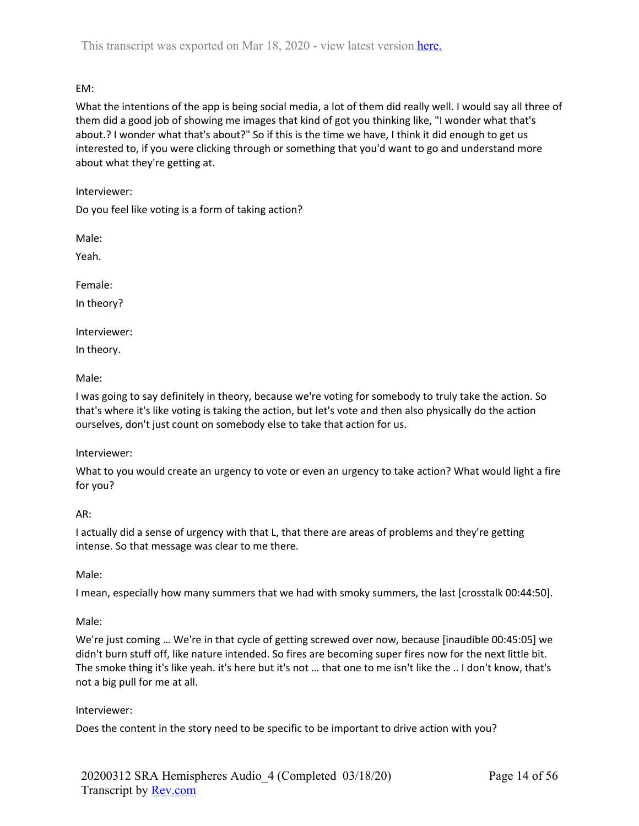# EM:

What the intentions of the app is being social media, a lot of them did really well. I would say all three of them did a good job of showing me images that kind of got you thinking like, "I wonder what that's about.? I wonder what that's about?" So if this is the time we have, I think it did enough to get us interested to, if you were clicking through or something that you'd want to go and understand more about what they're getting at.

Interviewer:

Do you feel like voting is a form of taking action?

Male:

Yeah.

Female:

In theory?

Interviewer:

In theory.

Male:

I was going to say definitely in theory, because we're voting for somebody to truly take the action. So that's where it's like voting is taking the action, but let's vote and then also physically do the action ourselves, don't just count on somebody else to take that action for us.

# Interviewer:

What to you would create an urgency to vote or even an urgency to take action? What would light a fire for you?

# AR:

I actually did a sense of urgency with that L, that there are areas of problems and they're getting intense. So that message was clear to me there.

# Male:

I mean, especially how many summers that we had with smoky summers, the last [crosstalk 00:44:50].

### Male:

We're just coming … We're in that cycle of getting screwed over now, because [inaudible 00:45:05] we didn't burn stuff off, like nature intended. So fires are becoming super fires now for the next little bit. The smoke thing it's like yeah. it's here but it's not … that one to me isn't like the .. I don't know, that's not a big pull for me at all.

### Interviewer:

Does the content in the story need to be specific to be important to drive action with you?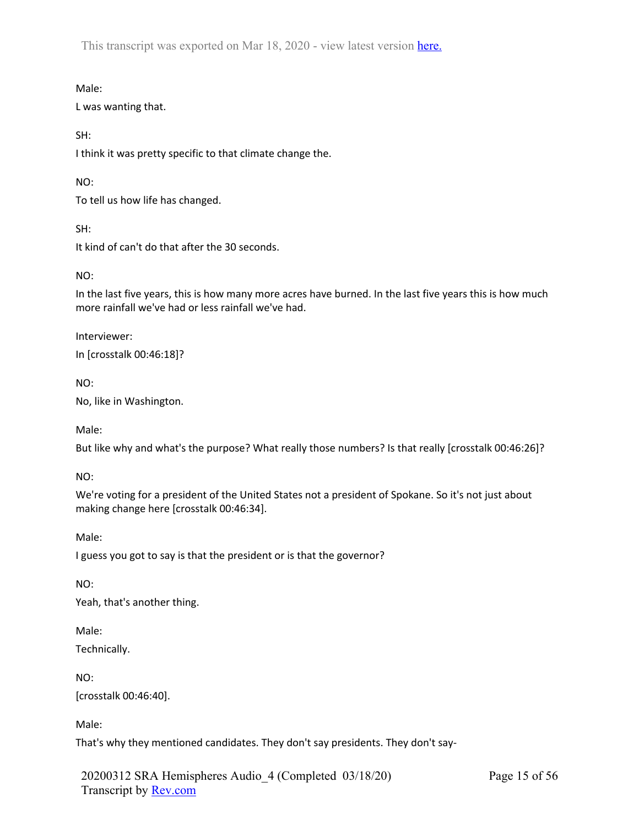Male:

L was wanting that.

SH:

I think it was pretty specific to that climate change the.

NO:

To tell us how life has changed.

SH:

It kind of can't do that after the 30 seconds.

NO:

In the last five years, this is how many more acres have burned. In the last five years this is how much more rainfall we've had or less rainfall we've had.

Interviewer:

In [crosstalk 00:46:18]?

NO:

No, like in Washington.

Male:

But like why and what's the purpose? What really those numbers? Is that really [crosstalk 00:46:26]?

NO:

We're voting for a president of the United States not a president of Spokane. So it's not just about making change here [crosstalk 00:46:34].

Male:

I guess you got to say is that the president or is that the governor?

NO:

Yeah, that's another thing.

Male:

Technically.

NO:

[crosstalk 00:46:40].

Male:

That's why they mentioned candidates. They don't say presidents. They don't say-

20200312 SRA Hemispheres Audio\_4 (Completed 03/18/20) Transcript by Rev.com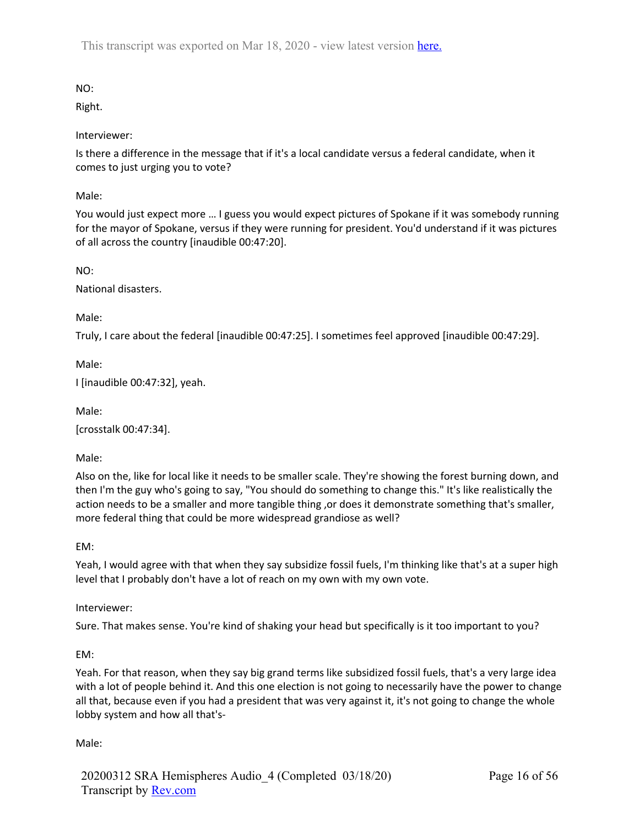NO:

Right.

Interviewer:

Is there a difference in the message that if it's a local candidate versus a federal candidate, when it comes to just urging you to vote?

Male:

You would just expect more … I guess you would expect pictures of Spokane if it was somebody running for the mayor of Spokane, versus if they were running for president. You'd understand if it was pictures of all across the country [inaudible 00:47:20].

NO:

National disasters.

Male:

Truly, I care about the federal [inaudible 00:47:25]. I sometimes feel approved [inaudible 00:47:29].

Male:

I [inaudible 00:47:32], yeah.

Male:

[crosstalk 00:47:34].

Male:

Also on the, like for local like it needs to be smaller scale. They're showing the forest burning down, and then I'm the guy who's going to say, "You should do something to change this." It's like realistically the action needs to be a smaller and more tangible thing , or does it demonstrate something that's smaller, more federal thing that could be more widespread grandiose as well?

EM:

Yeah, I would agree with that when they say subsidize fossil fuels, I'm thinking like that's at a super high level that I probably don't have a lot of reach on my own with my own vote.

Interviewer:

Sure. That makes sense. You're kind of shaking your head but specifically is it too important to you?

EM:

Yeah. For that reason, when they say big grand terms like subsidized fossil fuels, that's a very large idea with a lot of people behind it. And this one election is not going to necessarily have the power to change all that, because even if you had a president that was very against it, it's not going to change the whole lobby system and how all that's-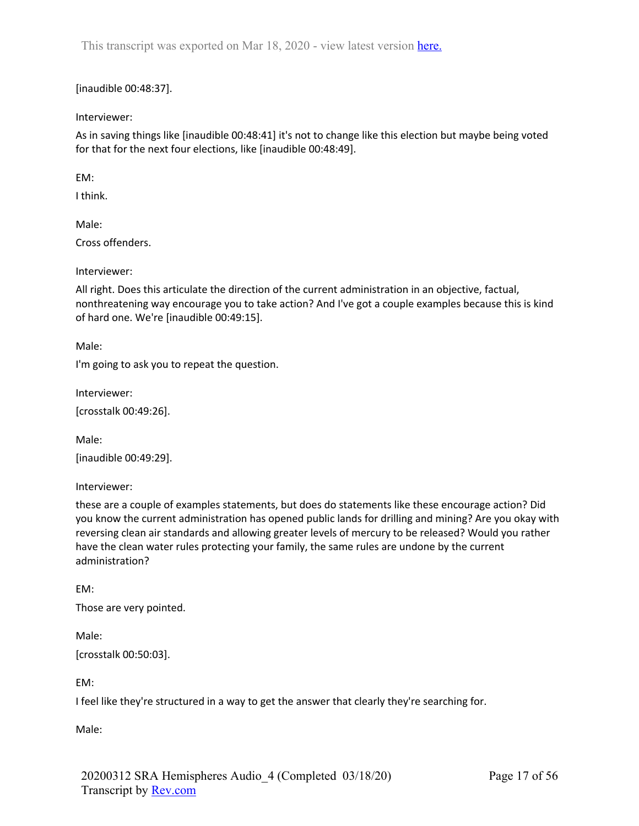[inaudible 00:48:37].

Interviewer:

As in saving things like [inaudible 00:48:41] it's not to change like this election but maybe being voted for that for the next four elections, like [inaudible 00:48:49].

EM:

I think.

Male:

Cross offenders.

Interviewer:

All right. Does this articulate the direction of the current administration in an objective, factual, nonthreatening way encourage you to take action? And I've got a couple examples because this is kind of hard one. We're [inaudible 00:49:15].

Male:

I'm going to ask you to repeat the question.

Interviewer:

[crosstalk 00:49:26].

Male:

[inaudible 00:49:29].

Interviewer:

these are a couple of examples statements, but does do statements like these encourage action? Did you know the current administration has opened public lands for drilling and mining? Are you okay with reversing clean air standards and allowing greater levels of mercury to be released? Would you rather have the clean water rules protecting your family, the same rules are undone by the current administration?

EM: Those are very pointed.

Male: [crosstalk 00:50:03].

EM:

I feel like they're structured in a way to get the answer that clearly they're searching for.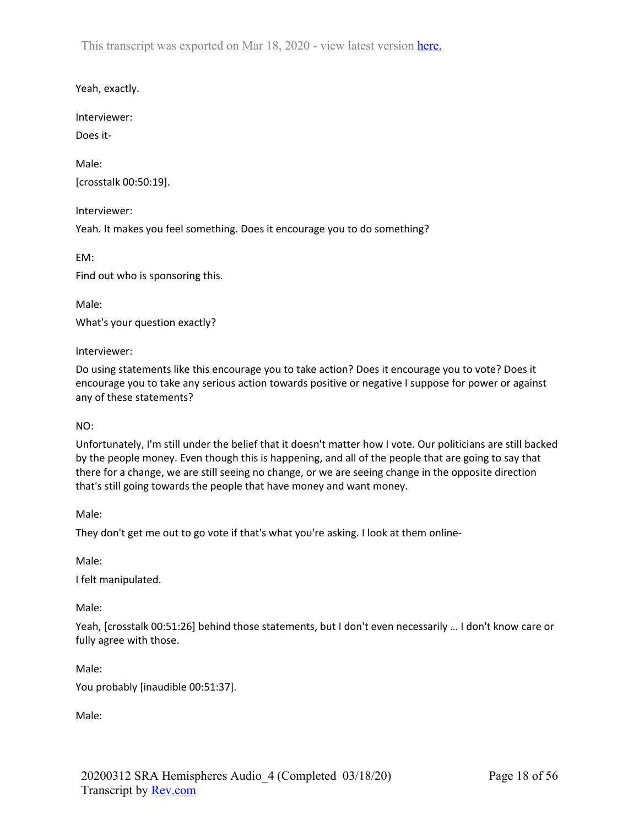Yeah, exactly.

Interviewer:

Does it-

Male: [crosstalk 00:50:19].

Interviewer: Yeah. It makes you feel something. Does it encourage you to do something?

EM: Find out who is sponsoring this.

Male: What's your question exactly?

Interviewer:

Do using statements like this encourage you to take action? Does it encourage you to vote? Does it encourage you to take any serious action towards positive or negative I suppose for power or against any of these statements?

NO:

Unfortunately, I'm still under the belief that it doesn't matter how I vote. Our politicians are still backed by the people money. Even though this is happening, and all of the people that are going to say that there for a change, we are still seeing no change, or we are seeing change in the opposite direction that's still going towards the people that have money and want money.

Male:

They don't get me out to go vote if that's what you're asking. I look at them online-

Male:

I felt manipulated.

Male:

Yeah, [crosstalk 00:51:26] behind those statements, but I don't even necessarily … I don't know care or fully agree with those.

Male:

You probably [inaudible 00:51:37].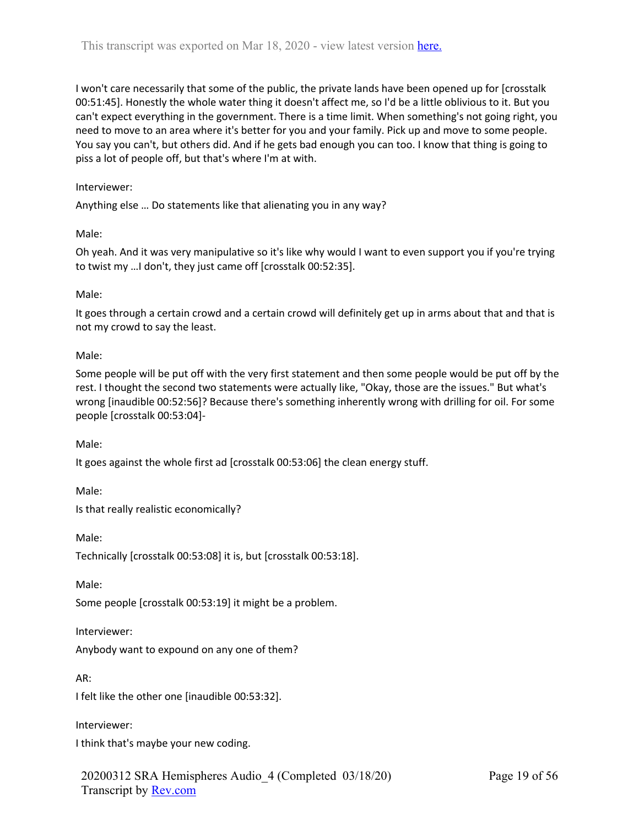I won't care necessarily that some of the public, the private lands have been opened up for [crosstalk 00:51:45]. Honestly the whole water thing it doesn't affect me, so I'd be a little oblivious to it. But you can't expect everything in the government. There is a time limit. When something's not going right, you need to move to an area where it's better for you and your family. Pick up and move to some people. You say you can't, but others did. And if he gets bad enough you can too. I know that thing is going to piss a lot of people off, but that's where I'm at with.

### Interviewer:

Anything else … Do statements like that alienating you in any way?

Male:

Oh yeah. And it was very manipulative so it's like why would I want to even support you if you're trying to twist my …I don't, they just came off [crosstalk 00:52:35].

### Male:

It goes through a certain crowd and a certain crowd will definitely get up in arms about that and that is not my crowd to say the least.

Male:

Some people will be put off with the very first statement and then some people would be put off by the rest. I thought the second two statements were actually like, "Okay, those are the issues." But what's wrong [inaudible 00:52:56]? Because there's something inherently wrong with drilling for oil. For some people [crosstalk 00:53:04]-

Male:

It goes against the whole first ad [crosstalk 00:53:06] the clean energy stuff.

Male:

Is that really realistic economically?

Male:

Technically [crosstalk 00:53:08] it is, but [crosstalk 00:53:18].

Male:

Some people [crosstalk 00:53:19] it might be a problem.

Interviewer:

Anybody want to expound on any one of them?

AR:

I felt like the other one [inaudible 00:53:32].

Interviewer:

I think that's maybe your new coding.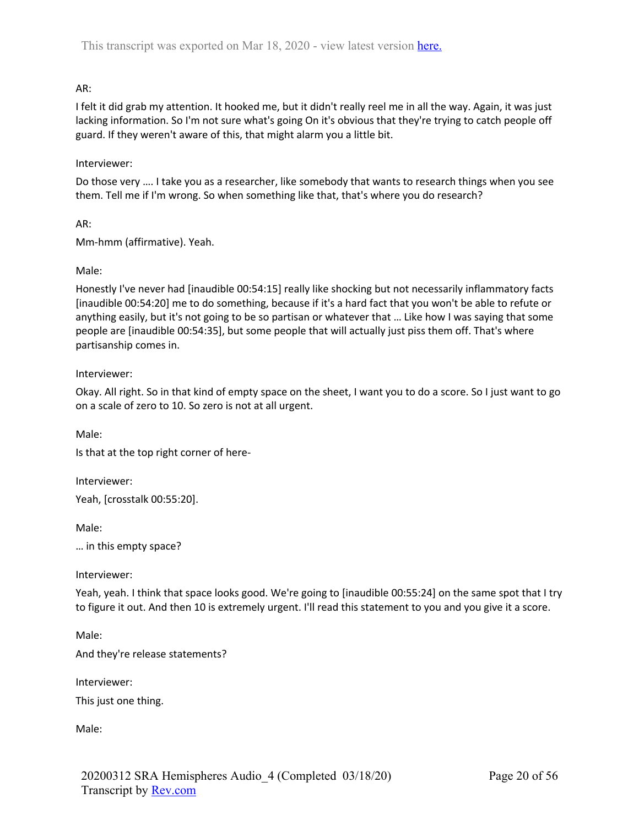# AR:

I felt it did grab my attention. It hooked me, but it didn't really reel me in all the way. Again, it was just lacking information. So I'm not sure what's going On it's obvious that they're trying to catch people off guard. If they weren't aware of this, that might alarm you a little bit.

## Interviewer:

Do those very …. I take you as a researcher, like somebody that wants to research things when you see them. Tell me if I'm wrong. So when something like that, that's where you do research?

AR:

Mm-hmm (affirmative). Yeah.

## Male:

Honestly I've never had [inaudible 00:54:15] really like shocking but not necessarily inflammatory facts [inaudible 00:54:20] me to do something, because if it's a hard fact that you won't be able to refute or anything easily, but it's not going to be so partisan or whatever that … Like how I was saying that some people are [inaudible 00:54:35], but some people that will actually just piss them off. That's where partisanship comes in.

## Interviewer:

Okay. All right. So in that kind of empty space on the sheet, I want you to do a score. So I just want to go on a scale of zero to 10. So zero is not at all urgent.

Male:

Is that at the top right corner of here-

Interviewer: Yeah, [crosstalk 00:55:20].

Male:

… in this empty space?

### Interviewer:

Yeah, yeah. I think that space looks good. We're going to [inaudible 00:55:24] on the same spot that I try to figure it out. And then 10 is extremely urgent. I'll read this statement to you and you give it a score.

Male:

And they're release statements?

Interviewer:

This just one thing.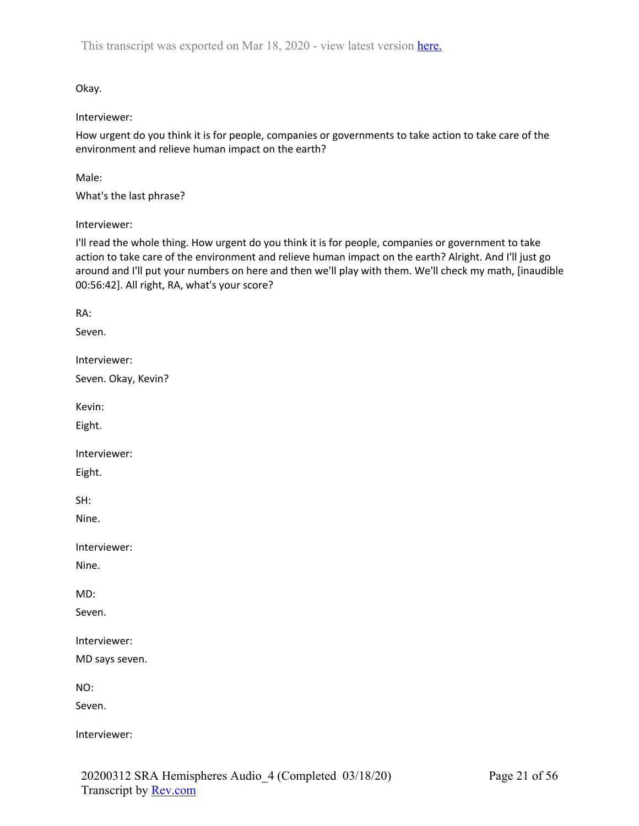Okay.

## Interviewer:

How urgent do you think it is for people, companies or governments to take action to take care of the environment and relieve human impact on the earth?

Male:

What's the last phrase?

Interviewer:

I'll read the whole thing. How urgent do you think it is for people, companies or government to take action to take care of the environment and relieve human impact on the earth? Alright. And I'll just go around and I'll put your numbers on here and then we'll play with them. We'll check my math, [inaudible 00:56:42]. All right, RA, what's your score?

RA: Seven. Interviewer: Seven. Okay, Kevin? Kevin: Eight. Interviewer: Eight. SH: Nine. Interviewer: Nine. MD: Seven. Interviewer: MD says seven. NO: Seven. Interviewer: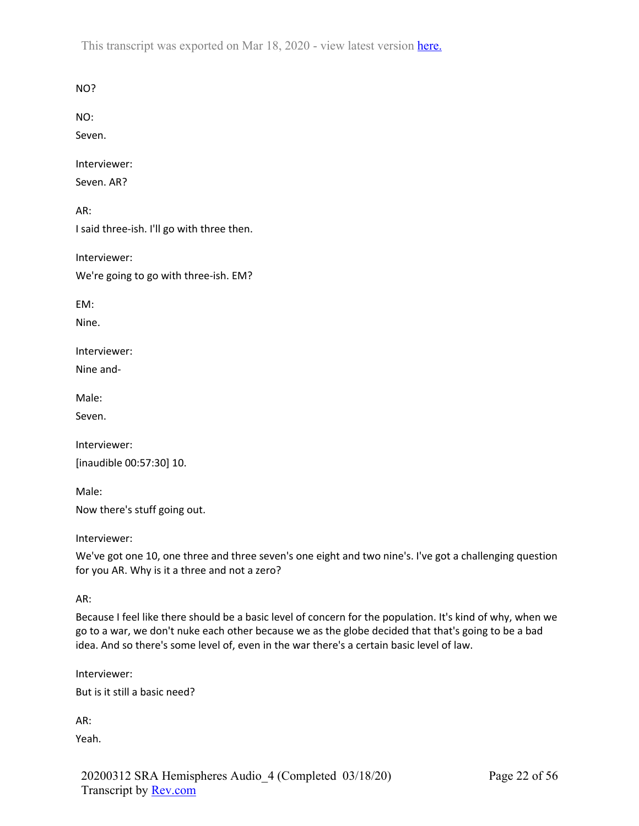NO?

NO:

Seven.

Interviewer:

Seven. AR?

AR:

I said three-ish. I'll go with three then.

Interviewer: We're going to go with three-ish. EM?

EM:

Nine.

Interviewer:

Nine and-

Male:

Seven.

Interviewer: [inaudible 00:57:30] 10.

Male: Now there's stuff going out.

Interviewer:

We've got one 10, one three and three seven's one eight and two nine's. I've got a challenging question for you AR. Why is it a three and not a zero?

AR:

Because I feel like there should be a basic level of concern for the population. It's kind of why, when we go to a war, we don't nuke each other because we as the globe decided that that's going to be a bad idea. And so there's some level of, even in the war there's a certain basic level of law.

Interviewer:

But is it still a basic need?

AR:

Yeah.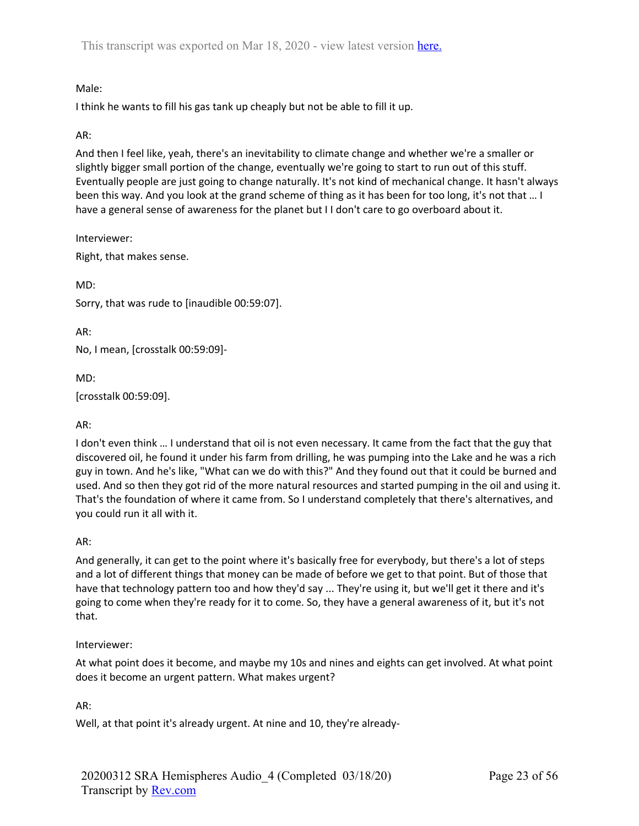# Male:

I think he wants to fill his gas tank up cheaply but not be able to fill it up.

# AR:

And then I feel like, yeah, there's an inevitability to climate change and whether we're a smaller or slightly bigger small portion of the change, eventually we're going to start to run out of this stuff. Eventually people are just going to change naturally. It's not kind of mechanical change. It hasn't always been this way. And you look at the grand scheme of thing as it has been for too long, it's not that … I have a general sense of awareness for the planet but I I don't care to go overboard about it.

Interviewer:

Right, that makes sense.

MD:

Sorry, that was rude to [inaudible 00:59:07].

AR:

No, I mean, [crosstalk 00:59:09]-

MD:

[crosstalk 00:59:09].

# AR:

I don't even think … I understand that oil is not even necessary. It came from the fact that the guy that discovered oil, he found it under his farm from drilling, he was pumping into the Lake and he was a rich guy in town. And he's like, "What can we do with this?" And they found out that it could be burned and used. And so then they got rid of the more natural resources and started pumping in the oil and using it. That's the foundation of where it came from. So I understand completely that there's alternatives, and you could run it all with it.

# AR:

And generally, it can get to the point where it's basically free for everybody, but there's a lot of steps and a lot of different things that money can be made of before we get to that point. But of those that have that technology pattern too and how they'd say ... They're using it, but we'll get it there and it's going to come when they're ready for it to come. So, they have a general awareness of it, but it's not that.

### Interviewer:

At what point does it become, and maybe my 10s and nines and eights can get involved. At what point does it become an urgent pattern. What makes urgent?

# AR:

Well, at that point it's already urgent. At nine and 10, they're already-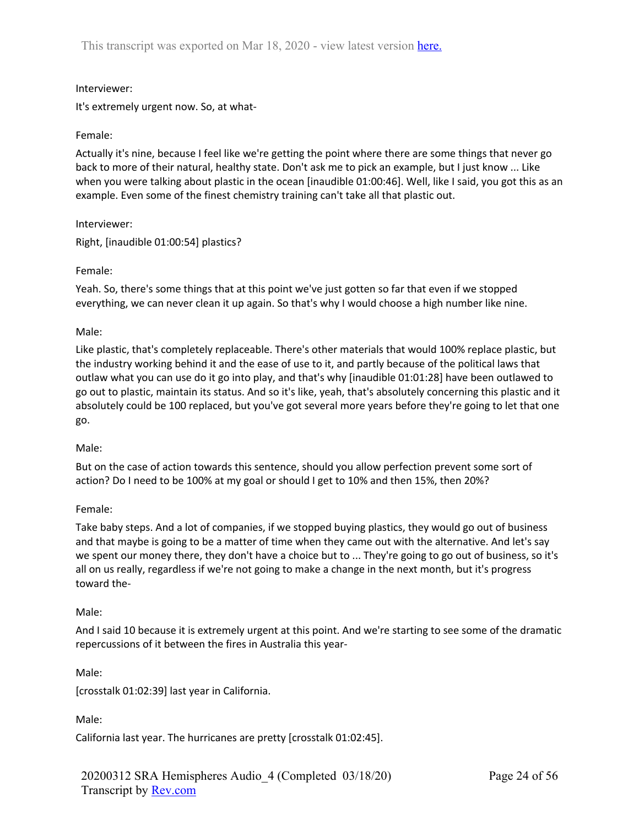## Interviewer:

It's extremely urgent now. So, at what-

### Female:

Actually it's nine, because I feel like we're getting the point where there are some things that never go back to more of their natural, healthy state. Don't ask me to pick an example, but I just know ... Like when you were talking about plastic in the ocean [inaudible 01:00:46]. Well, like I said, you got this as an example. Even some of the finest chemistry training can't take all that plastic out.

Interviewer:

Right, [inaudible 01:00:54] plastics?

## Female:

Yeah. So, there's some things that at this point we've just gotten so far that even if we stopped everything, we can never clean it up again. So that's why I would choose a high number like nine.

## Male:

Like plastic, that's completely replaceable. There's other materials that would 100% replace plastic, but the industry working behind it and the ease of use to it, and partly because of the political laws that outlaw what you can use do it go into play, and that's why [inaudible 01:01:28] have been outlawed to go out to plastic, maintain its status. And so it's like, yeah, that's absolutely concerning this plastic and it absolutely could be 100 replaced, but you've got several more years before they're going to let that one go.

### Male:

But on the case of action towards this sentence, should you allow perfection prevent some sort of action? Do I need to be 100% at my goal or should I get to 10% and then 15%, then 20%?

### Female:

Take baby steps. And a lot of companies, if we stopped buying plastics, they would go out of business and that maybe is going to be a matter of time when they came out with the alternative. And let's say we spent our money there, they don't have a choice but to ... They're going to go out of business, so it's all on us really, regardless if we're not going to make a change in the next month, but it's progress toward the-

### Male:

And I said 10 because it is extremely urgent at this point. And we're starting to see some of the dramatic repercussions of it between the fires in Australia this year-

Male:

[crosstalk 01:02:39] last year in California.

Male:

California last year. The hurricanes are pretty [crosstalk 01:02:45].

20200312 SRA Hemispheres Audio\_4 (Completed 03/18/20) Transcript by Rev.com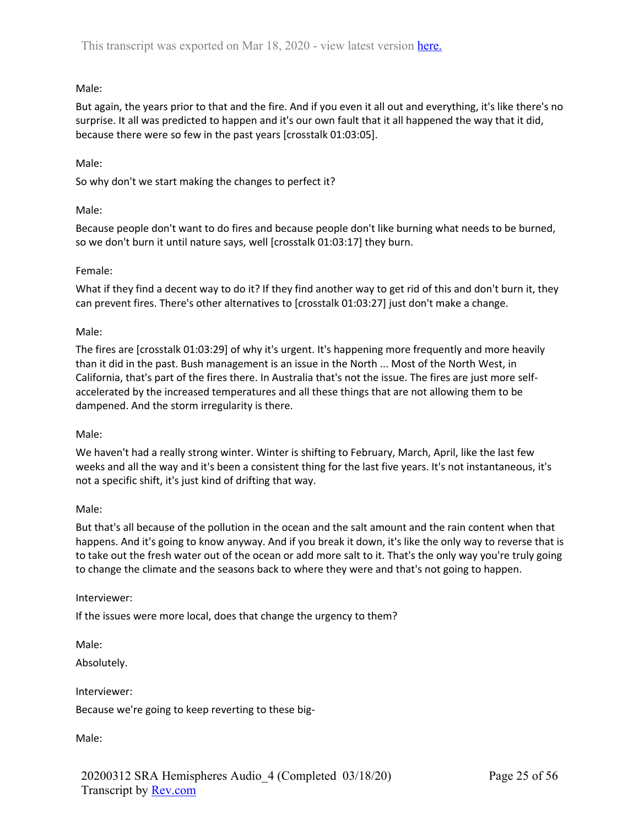# Male:

But again, the years prior to that and the fire. And if you even it all out and everything, it's like there's no surprise. It all was predicted to happen and it's our own fault that it all happened the way that it did, because there were so few in the past years [crosstalk 01:03:05].

## Male:

So why don't we start making the changes to perfect it?

## Male:

Because people don't want to do fires and because people don't like burning what needs to be burned, so we don't burn it until nature says, well [crosstalk 01:03:17] they burn.

## Female:

What if they find a decent way to do it? If they find another way to get rid of this and don't burn it, they can prevent fires. There's other alternatives to [crosstalk 01:03:27] just don't make a change.

## Male:

The fires are [crosstalk 01:03:29] of why it's urgent. It's happening more frequently and more heavily than it did in the past. Bush management is an issue in the North ... Most of the North West, in California, that's part of the fires there. In Australia that's not the issue. The fires are just more selfaccelerated by the increased temperatures and all these things that are not allowing them to be dampened. And the storm irregularity is there.

### Male:

We haven't had a really strong winter. Winter is shifting to February, March, April, like the last few weeks and all the way and it's been a consistent thing for the last five years. It's not instantaneous, it's not a specific shift, it's just kind of drifting that way.

### Male:

But that's all because of the pollution in the ocean and the salt amount and the rain content when that happens. And it's going to know anyway. And if you break it down, it's like the only way to reverse that is to take out the fresh water out of the ocean or add more salt to it. That's the only way you're truly going to change the climate and the seasons back to where they were and that's not going to happen.

# Interviewer:

If the issues were more local, does that change the urgency to them?

Male:

Absolutely.

Interviewer:

Because we're going to keep reverting to these big-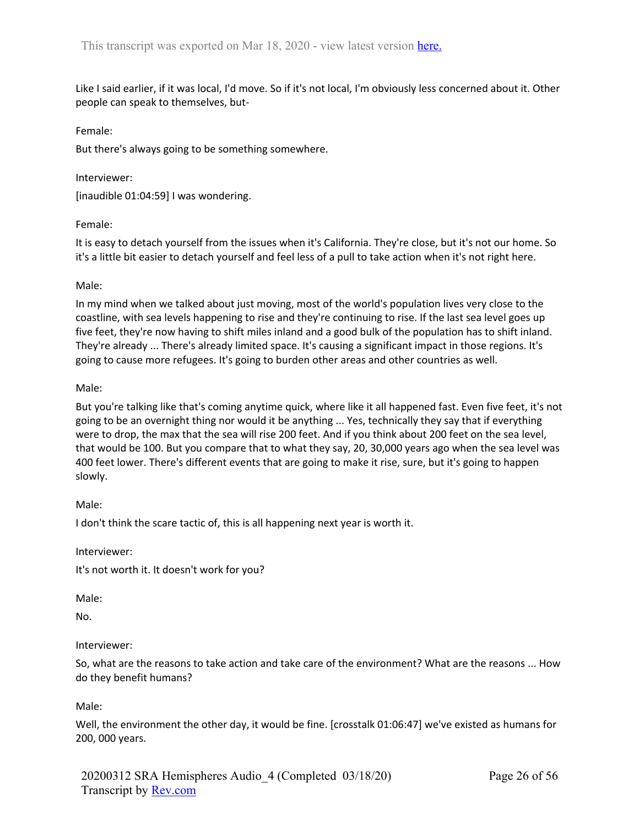Like I said earlier, if it was local, I'd move. So if it's not local, I'm obviously less concerned about it. Other people can speak to themselves, but-

### Female:

But there's always going to be something somewhere.

## Interviewer:

[inaudible 01:04:59] I was wondering.

## Female:

It is easy to detach yourself from the issues when it's California. They're close, but it's not our home. So it's a little bit easier to detach yourself and feel less of a pull to take action when it's not right here.

## Male:

In my mind when we talked about just moving, most of the world's population lives very close to the coastline, with sea levels happening to rise and they're continuing to rise. If the last sea level goes up five feet, they're now having to shift miles inland and a good bulk of the population has to shift inland. They're already ... There's already limited space. It's causing a significant impact in those regions. It's going to cause more refugees. It's going to burden other areas and other countries as well.

## Male:

But you're talking like that's coming anytime quick, where like it all happened fast. Even five feet, it's not going to be an overnight thing nor would it be anything ... Yes, technically they say that if everything were to drop, the max that the sea will rise 200 feet. And if you think about 200 feet on the sea level, that would be 100. But you compare that to what they say, 20, 30,000 years ago when the sea level was 400 feet lower. There's different events that are going to make it rise, sure, but it's going to happen slowly.

Male:

I don't think the scare tactic of, this is all happening next year is worth it.

Interviewer:

It's not worth it. It doesn't work for you?

Male:

No.

### Interviewer:

So, what are the reasons to take action and take care of the environment? What are the reasons ... How do they benefit humans?

# Male:

Well, the environment the other day, it would be fine. [crosstalk 01:06:47] we've existed as humans for 200, 000 years.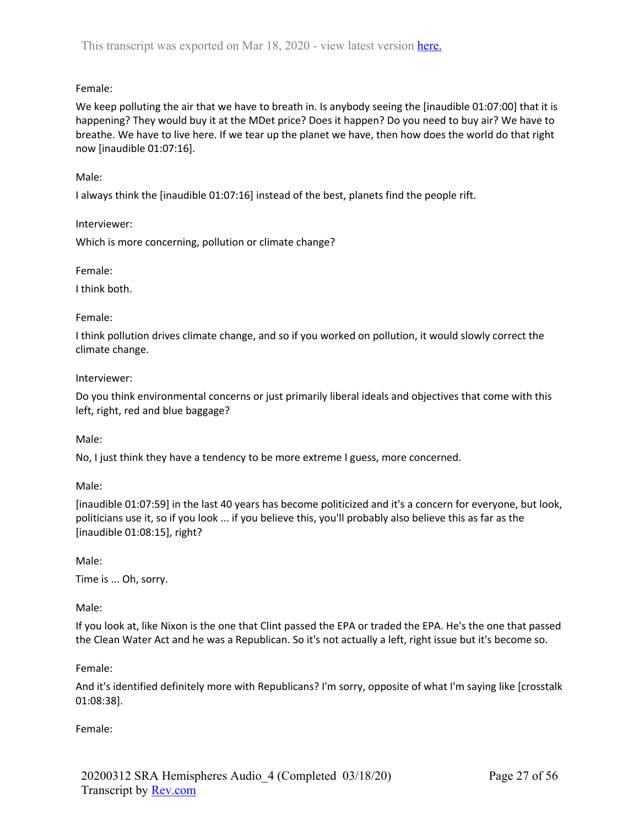# Female:

We keep polluting the air that we have to breath in. Is anybody seeing the [inaudible 01:07:00] that it is happening? They would buy it at the MDet price? Does it happen? Do you need to buy air? We have to breathe. We have to live here. If we tear up the planet we have, then how does the world do that right now [inaudible 01:07:16].

# Male:

I always think the [inaudible 01:07:16] instead of the best, planets find the people rift.

Interviewer:

Which is more concerning, pollution or climate change?

Female:

I think both.

## Female:

I think pollution drives climate change, and so if you worked on pollution, it would slowly correct the climate change.

## Interviewer:

Do you think environmental concerns or just primarily liberal ideals and objectives that come with this left, right, red and blue baggage?

Male:

No, I just think they have a tendency to be more extreme I guess, more concerned.

Male:

[inaudible 01:07:59] in the last 40 years has become politicized and it's a concern for everyone, but look, politicians use it, so if you look ... if you believe this, you'll probably also believe this as far as the [inaudible 01:08:15], right?

Male:

Time is ... Oh, sorry.

Male:

If you look at, like Nixon is the one that Clint passed the EPA or traded the EPA. He's the one that passed the Clean Water Act and he was a Republican. So it's not actually a left, right issue but it's become so.

Female:

And it's identified definitely more with Republicans? I'm sorry, opposite of what I'm saying like [crosstalk 01:08:38].

Female: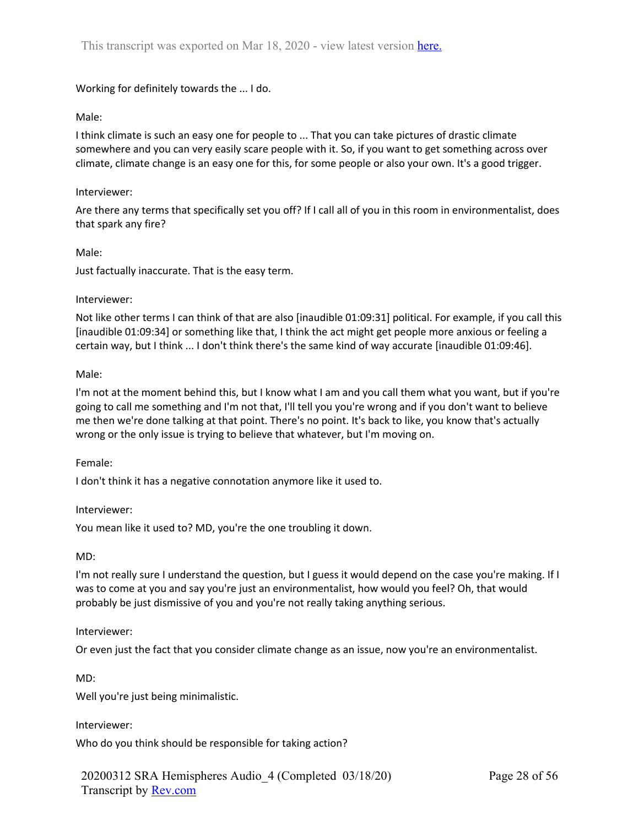Working for definitely towards the ... I do.

### Male:

I think climate is such an easy one for people to ... That you can take pictures of drastic climate somewhere and you can very easily scare people with it. So, if you want to get something across over climate, climate change is an easy one for this, for some people or also your own. It's a good trigger.

### Interviewer:

Are there any terms that specifically set you off? If I call all of you in this room in environmentalist, does that spark any fire?

### Male:

Just factually inaccurate. That is the easy term.

### Interviewer:

Not like other terms I can think of that are also [inaudible 01:09:31] political. For example, if you call this [inaudible 01:09:34] or something like that, I think the act might get people more anxious or feeling a certain way, but I think ... I don't think there's the same kind of way accurate [inaudible 01:09:46].

#### Male:

I'm not at the moment behind this, but I know what I am and you call them what you want, but if you're going to call me something and I'm not that, I'll tell you you're wrong and if you don't want to believe me then we're done talking at that point. There's no point. It's back to like, you know that's actually wrong or the only issue is trying to believe that whatever, but I'm moving on.

### Female:

I don't think it has a negative connotation anymore like it used to.

### Interviewer:

You mean like it used to? MD, you're the one troubling it down.

### MD:

I'm not really sure I understand the question, but I guess it would depend on the case you're making. If I was to come at you and say you're just an environmentalist, how would you feel? Oh, that would probably be just dismissive of you and you're not really taking anything serious.

### Interviewer:

Or even just the fact that you consider climate change as an issue, now you're an environmentalist.

MD:

Well you're just being minimalistic.

### Interviewer:

Who do you think should be responsible for taking action?

20200312 SRA Hemispheres Audio\_4 (Completed 03/18/20) Transcript by Rev.com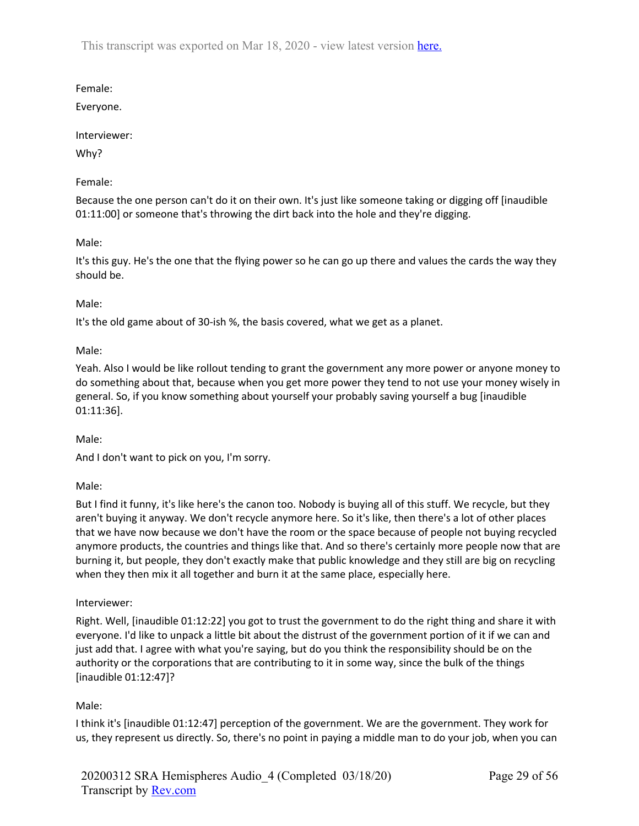Female:

Everyone.

Interviewer:

Why?

Female:

Because the one person can't do it on their own. It's just like someone taking or digging off [inaudible 01:11:00] or someone that's throwing the dirt back into the hole and they're digging.

Male:

It's this guy. He's the one that the flying power so he can go up there and values the cards the way they should be.

Male:

It's the old game about of 30-ish %, the basis covered, what we get as a planet.

Male:

Yeah. Also I would be like rollout tending to grant the government any more power or anyone money to do something about that, because when you get more power they tend to not use your money wisely in general. So, if you know something about yourself your probably saving yourself a bug [inaudible 01:11:36].

Male:

And I don't want to pick on you, I'm sorry.

Male:

But I find it funny, it's like here's the canon too. Nobody is buying all of this stuff. We recycle, but they aren't buying it anyway. We don't recycle anymore here. So it's like, then there's a lot of other places that we have now because we don't have the room or the space because of people not buying recycled anymore products, the countries and things like that. And so there's certainly more people now that are burning it, but people, they don't exactly make that public knowledge and they still are big on recycling when they then mix it all together and burn it at the same place, especially here.

# Interviewer:

Right. Well, [inaudible 01:12:22] you got to trust the government to do the right thing and share it with everyone. I'd like to unpack a little bit about the distrust of the government portion of it if we can and just add that. I agree with what you're saying, but do you think the responsibility should be on the authority or the corporations that are contributing to it in some way, since the bulk of the things [inaudible 01:12:47]?

Male:

I think it's [inaudible 01:12:47] perception of the government. We are the government. They work for us, they represent us directly. So, there's no point in paying a middle man to do your job, when you can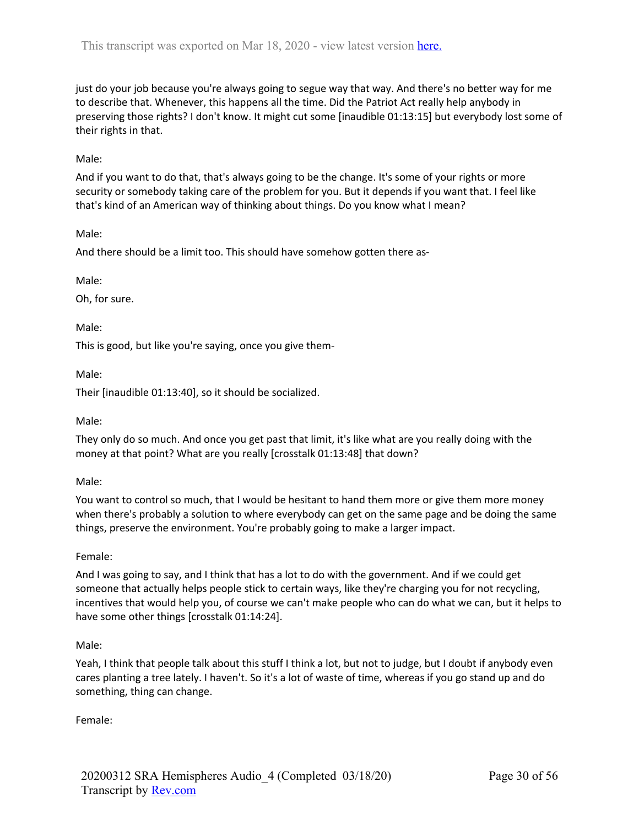just do your job because you're always going to segue way that way. And there's no better way for me to describe that. Whenever, this happens all the time. Did the Patriot Act really help anybody in preserving those rights? I don't know. It might cut some [inaudible 01:13:15] but everybody lost some of their rights in that.

## Male:

And if you want to do that, that's always going to be the change. It's some of your rights or more security or somebody taking care of the problem for you. But it depends if you want that. I feel like that's kind of an American way of thinking about things. Do you know what I mean?

Male:

And there should be a limit too. This should have somehow gotten there as-

Male:

Oh, for sure.

Male:

This is good, but like you're saying, once you give them-

Male:

Their [inaudible 01:13:40], so it should be socialized.

Male:

They only do so much. And once you get past that limit, it's like what are you really doing with the money at that point? What are you really [crosstalk 01:13:48] that down?

Male:

You want to control so much, that I would be hesitant to hand them more or give them more money when there's probably a solution to where everybody can get on the same page and be doing the same things, preserve the environment. You're probably going to make a larger impact.

### Female:

And I was going to say, and I think that has a lot to do with the government. And if we could get someone that actually helps people stick to certain ways, like they're charging you for not recycling, incentives that would help you, of course we can't make people who can do what we can, but it helps to have some other things [crosstalk 01:14:24].

### Male:

Yeah, I think that people talk about this stuff I think a lot, but not to judge, but I doubt if anybody even cares planting a tree lately. I haven't. So it's a lot of waste of time, whereas if you go stand up and do something, thing can change.

Female: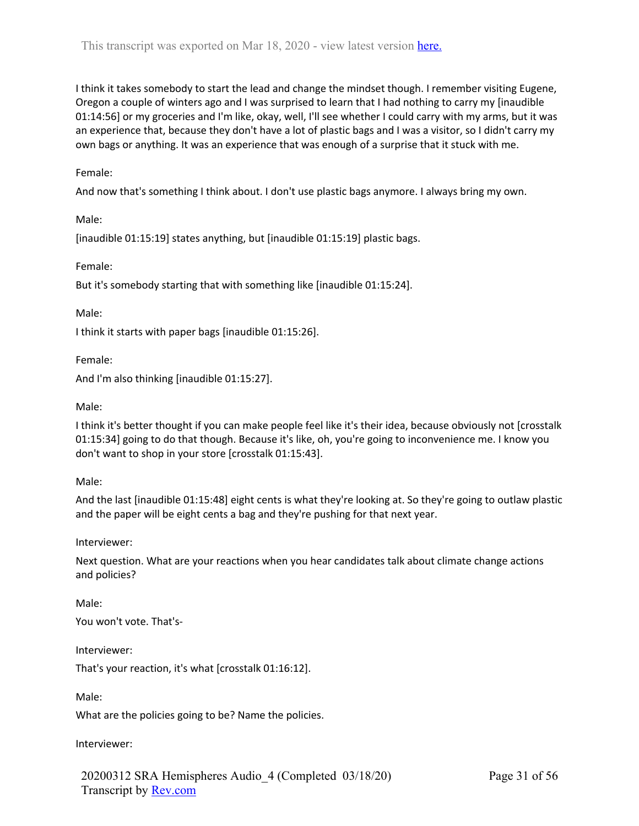I think it takes somebody to start the lead and change the mindset though. I remember visiting Eugene, Oregon a couple of winters ago and I was surprised to learn that I had nothing to carry my [inaudible 01:14:56] or my groceries and I'm like, okay, well, I'll see whether I could carry with my arms, but it was an experience that, because they don't have a lot of plastic bags and I was a visitor, so I didn't carry my own bags or anything. It was an experience that was enough of a surprise that it stuck with me.

## Female:

And now that's something I think about. I don't use plastic bags anymore. I always bring my own.

Male:

[inaudible 01:15:19] states anything, but [inaudible 01:15:19] plastic bags.

Female:

But it's somebody starting that with something like [inaudible 01:15:24].

Male:

I think it starts with paper bags [inaudible 01:15:26].

Female:

And I'm also thinking [inaudible 01:15:27].

Male:

I think it's better thought if you can make people feel like it's their idea, because obviously not [crosstalk 01:15:34] going to do that though. Because it's like, oh, you're going to inconvenience me. I know you don't want to shop in your store [crosstalk 01:15:43].

Male:

And the last [inaudible 01:15:48] eight cents is what they're looking at. So they're going to outlaw plastic and the paper will be eight cents a bag and they're pushing for that next year.

Interviewer:

Next question. What are your reactions when you hear candidates talk about climate change actions and policies?

Male:

You won't vote. That's-

Interviewer:

That's your reaction, it's what [crosstalk 01:16:12].

Male:

What are the policies going to be? Name the policies.

Interviewer: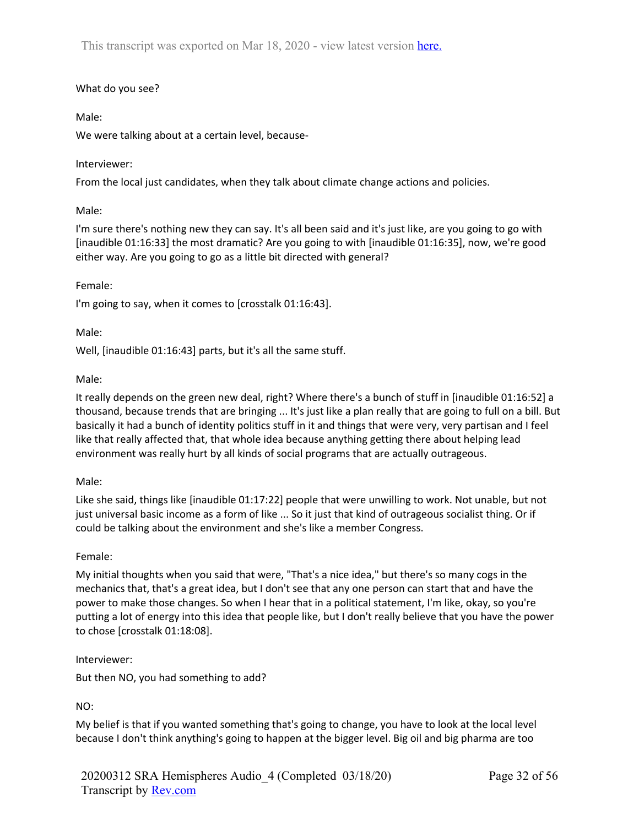# What do you see?

# Male:

We were talking about at a certain level, because-

# Interviewer:

From the local just candidates, when they talk about climate change actions and policies.

# Male:

I'm sure there's nothing new they can say. It's all been said and it's just like, are you going to go with [inaudible 01:16:33] the most dramatic? Are you going to with [inaudible 01:16:35], now, we're good either way. Are you going to go as a little bit directed with general?

# Female:

I'm going to say, when it comes to [crosstalk 01:16:43].

Male:

Well, [inaudible 01:16:43] parts, but it's all the same stuff.

# Male:

It really depends on the green new deal, right? Where there's a bunch of stuff in [inaudible 01:16:52] a thousand, because trends that are bringing ... It's just like a plan really that are going to full on a bill. But basically it had a bunch of identity politics stuff in it and things that were very, very partisan and I feel like that really affected that, that whole idea because anything getting there about helping lead environment was really hurt by all kinds of social programs that are actually outrageous.

# Male:

Like she said, things like [inaudible 01:17:22] people that were unwilling to work. Not unable, but not just universal basic income as a form of like ... So it just that kind of outrageous socialist thing. Or if could be talking about the environment and she's like a member Congress.

# Female:

My initial thoughts when you said that were, "That's a nice idea," but there's so many cogs in the mechanics that, that's a great idea, but I don't see that any one person can start that and have the power to make those changes. So when I hear that in a political statement, I'm like, okay, so you're putting a lot of energy into this idea that people like, but I don't really believe that you have the power to chose [crosstalk 01:18:08].

# Interviewer:

But then NO, you had something to add?

# NO:

My belief is that if you wanted something that's going to change, you have to look at the local level because I don't think anything's going to happen at the bigger level. Big oil and big pharma are too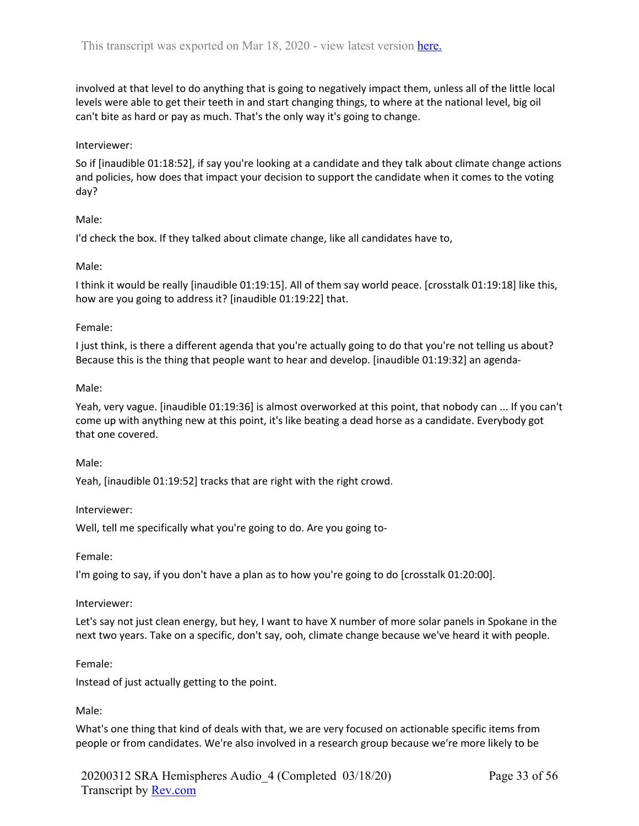involved at that level to do anything that is going to negatively impact them, unless all of the little local levels were able to get their teeth in and start changing things, to where at the national level, big oil can't bite as hard or pay as much. That's the only way it's going to change.

## Interviewer:

So if [inaudible 01:18:52], if say you're looking at a candidate and they talk about climate change actions and policies, how does that impact your decision to support the candidate when it comes to the voting day?

# Male:

I'd check the box. If they talked about climate change, like all candidates have to,

## Male:

I think it would be really [inaudible 01:19:15]. All of them say world peace. [crosstalk 01:19:18] like this, how are you going to address it? [inaudible 01:19:22] that.

## Female:

I just think, is there a different agenda that you're actually going to do that you're not telling us about? Because this is the thing that people want to hear and develop. [inaudible 01:19:32] an agenda-

## Male:

Yeah, very vague. [inaudible 01:19:36] is almost overworked at this point, that nobody can ... If you can't come up with anything new at this point, it's like beating a dead horse as a candidate. Everybody got that one covered.

### Male:

Yeah, [inaudible 01:19:52] tracks that are right with the right crowd.

### Interviewer:

Well, tell me specifically what you're going to do. Are you going to-

### Female:

I'm going to say, if you don't have a plan as to how you're going to do [crosstalk 01:20:00].

### Interviewer:

Let's say not just clean energy, but hey, I want to have X number of more solar panels in Spokane in the next two years. Take on a specific, don't say, ooh, climate change because we've heard it with people.

### Female:

Instead of just actually getting to the point.

# Male:

What's one thing that kind of deals with that, we are very focused on actionable specific items from people or from candidates. We're also involved in a research group because we're more likely to be

20200312 SRA Hemispheres Audio\_4 (Completed 03/18/20) Transcript by Rev.com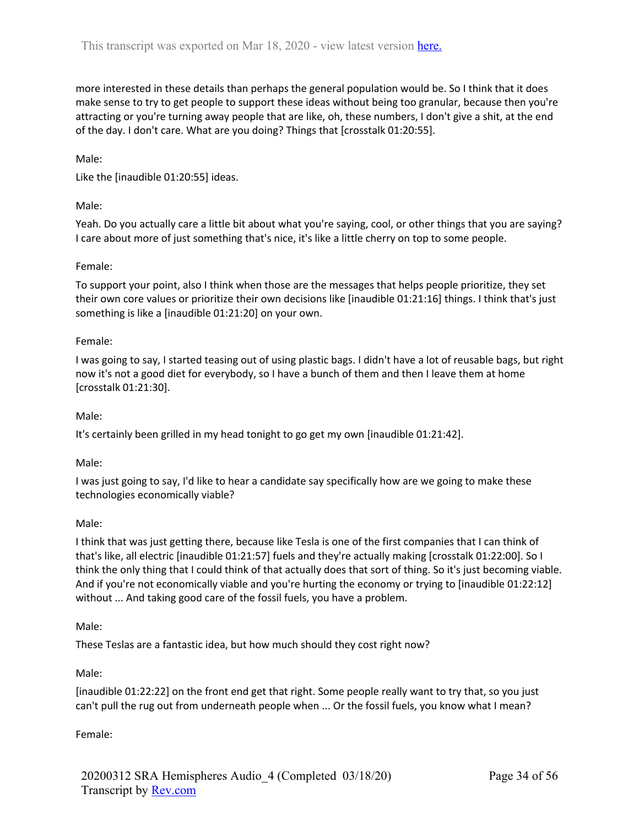more interested in these details than perhaps the general population would be. So I think that it does make sense to try to get people to support these ideas without being too granular, because then you're attracting or you're turning away people that are like, oh, these numbers, I don't give a shit, at the end of the day. I don't care. What are you doing? Things that [crosstalk 01:20:55].

Male:

Like the [inaudible 01:20:55] ideas.

## Male:

Yeah. Do you actually care a little bit about what you're saying, cool, or other things that you are saying? I care about more of just something that's nice, it's like a little cherry on top to some people.

## Female:

To support your point, also I think when those are the messages that helps people prioritize, they set their own core values or prioritize their own decisions like [inaudible 01:21:16] things. I think that's just something is like a [inaudible 01:21:20] on your own.

### Female:

I was going to say, I started teasing out of using plastic bags. I didn't have a lot of reusable bags, but right now it's not a good diet for everybody, so I have a bunch of them and then I leave them at home [crosstalk 01:21:30].

### Male:

It's certainly been grilled in my head tonight to go get my own [inaudible 01:21:42].

### Male:

I was just going to say, I'd like to hear a candidate say specifically how are we going to make these technologies economically viable?

### Male:

I think that was just getting there, because like Tesla is one of the first companies that I can think of that's like, all electric [inaudible 01:21:57] fuels and they're actually making [crosstalk 01:22:00]. So I think the only thing that I could think of that actually does that sort of thing. So it's just becoming viable. And if you're not economically viable and you're hurting the economy or trying to [inaudible 01:22:12] without ... And taking good care of the fossil fuels, you have a problem.

### Male:

These Teslas are a fantastic idea, but how much should they cost right now?

### Male:

[inaudible 01:22:22] on the front end get that right. Some people really want to try that, so you just can't pull the rug out from underneath people when ... Or the fossil fuels, you know what I mean?

### Female: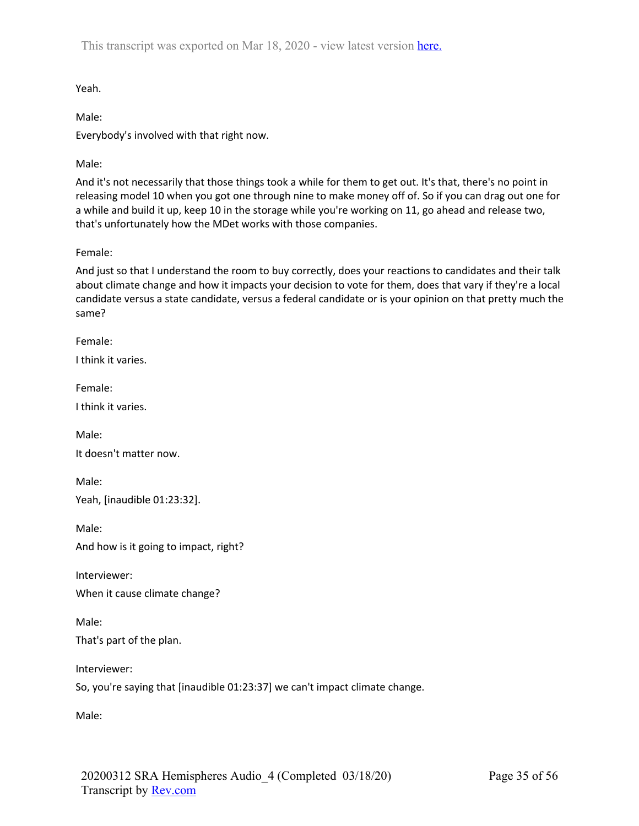Yeah.

Male:

Everybody's involved with that right now.

Male:

And it's not necessarily that those things took a while for them to get out. It's that, there's no point in releasing model 10 when you got one through nine to make money off of. So if you can drag out one for a while and build it up, keep 10 in the storage while you're working on 11, go ahead and release two, that's unfortunately how the MDet works with those companies.

Female:

And just so that I understand the room to buy correctly, does your reactions to candidates and their talk about climate change and how it impacts your decision to vote for them, does that vary if they're a local candidate versus a state candidate, versus a federal candidate or is your opinion on that pretty much the same?

Female:

I think it varies.

Female:

I think it varies.

Male:

It doesn't matter now.

Male: Yeah, [inaudible 01:23:32].

Male:

And how is it going to impact, right?

Interviewer:

When it cause climate change?

Male: That's part of the plan.

Interviewer:

So, you're saying that [inaudible 01:23:37] we can't impact climate change.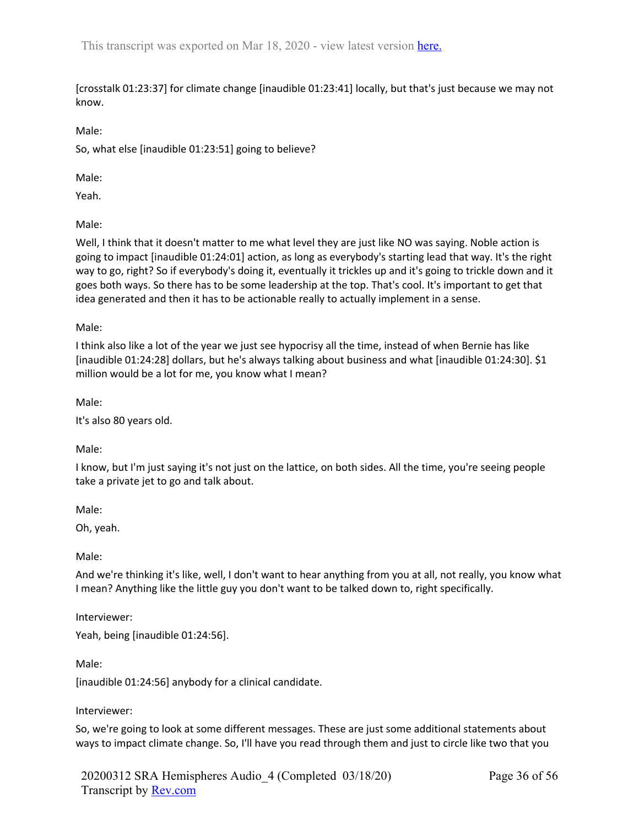[crosstalk 01:23:37] for climate change [inaudible 01:23:41] locally, but that's just because we may not know.

Male:

So, what else [inaudible 01:23:51] going to believe?

Male:

Yeah.

Male:

Well, I think that it doesn't matter to me what level they are just like NO was saying. Noble action is going to impact [inaudible 01:24:01] action, as long as everybody's starting lead that way. It's the right way to go, right? So if everybody's doing it, eventually it trickles up and it's going to trickle down and it goes both ways. So there has to be some leadership at the top. That's cool. It's important to get that idea generated and then it has to be actionable really to actually implement in a sense.

Male:

I think also like a lot of the year we just see hypocrisy all the time, instead of when Bernie has like [inaudible 01:24:28] dollars, but he's always talking about business and what [inaudible 01:24:30]. \$1 million would be a lot for me, you know what I mean?

Male:

It's also 80 years old.

Male:

I know, but I'm just saying it's not just on the lattice, on both sides. All the time, you're seeing people take a private jet to go and talk about.

Male:

Oh, yeah.

Male:

And we're thinking it's like, well, I don't want to hear anything from you at all, not really, you know what I mean? Anything like the little guy you don't want to be talked down to, right specifically.

Interviewer:

Yeah, being [inaudible 01:24:56].

Male:

[inaudible 01:24:56] anybody for a clinical candidate.

### Interviewer:

So, we're going to look at some different messages. These are just some additional statements about ways to impact climate change. So, I'll have you read through them and just to circle like two that you

20200312 SRA Hemispheres Audio\_4 (Completed 03/18/20) Transcript by Rev.com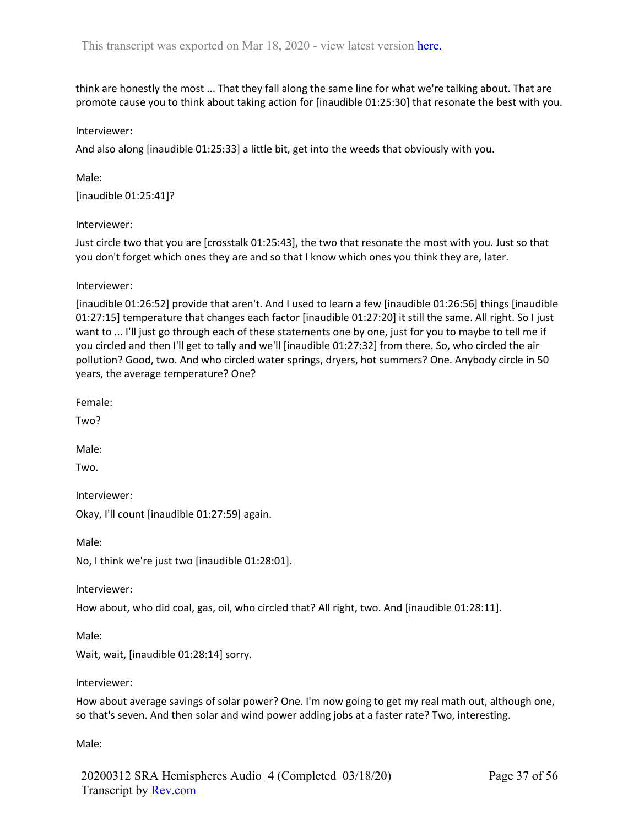think are honestly the most ... That they fall along the same line for what we're talking about. That are promote cause you to think about taking action for [inaudible 01:25:30] that resonate the best with you.

#### Interviewer:

And also along [inaudible 01:25:33] a little bit, get into the weeds that obviously with you.

Male: [inaudible 01:25:41]?

#### Interviewer:

Just circle two that you are [crosstalk 01:25:43], the two that resonate the most with you. Just so that you don't forget which ones they are and so that I know which ones you think they are, later.

Interviewer:

[inaudible 01:26:52] provide that aren't. And I used to learn a few [inaudible 01:26:56] things [inaudible 01:27:15] temperature that changes each factor [inaudible 01:27:20] it still the same. All right. So I just want to ... I'll just go through each of these statements one by one, just for you to maybe to tell me if you circled and then I'll get to tally and we'll [inaudible 01:27:32] from there. So, who circled the air pollution? Good, two. And who circled water springs, dryers, hot summers? One. Anybody circle in 50 years, the average temperature? One?

Female:

Two?

Male:

Two.

Interviewer:

Okay, I'll count [inaudible 01:27:59] again.

Male:

No, I think we're just two [inaudible 01:28:01].

Interviewer:

How about, who did coal, gas, oil, who circled that? All right, two. And [inaudible 01:28:11].

Male:

Wait, wait, [inaudible 01:28:14] sorry.

Interviewer:

How about average savings of solar power? One. I'm now going to get my real math out, although one, so that's seven. And then solar and wind power adding jobs at a faster rate? Two, interesting.

Male:

20200312 SRA Hemispheres Audio\_4 (Completed 03/18/20) Transcript by Rev.com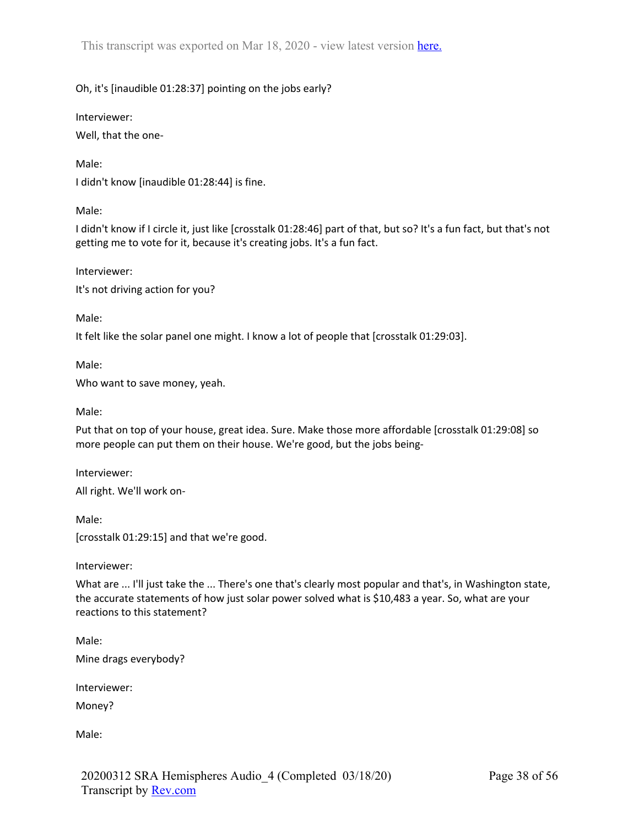# Oh, it's [inaudible 01:28:37] pointing on the jobs early?

Interviewer:

Well, that the one-

### Male:

I didn't know [inaudible 01:28:44] is fine.

Male:

I didn't know if I circle it, just like [crosstalk 01:28:46] part of that, but so? It's a fun fact, but that's not getting me to vote for it, because it's creating jobs. It's a fun fact.

Interviewer:

It's not driving action for you?

Male:

It felt like the solar panel one might. I know a lot of people that [crosstalk 01:29:03].

Male:

Who want to save money, yeah.

Male:

Put that on top of your house, great idea. Sure. Make those more affordable [crosstalk 01:29:08] so more people can put them on their house. We're good, but the jobs being-

Interviewer: All right. We'll work on-

Male: [crosstalk 01:29:15] and that we're good.

Interviewer:

What are ... I'll just take the ... There's one that's clearly most popular and that's, in Washington state, the accurate statements of how just solar power solved what is \$10,483 a year. So, what are your reactions to this statement?

Male: Mine drags everybody?

Interviewer:

Money?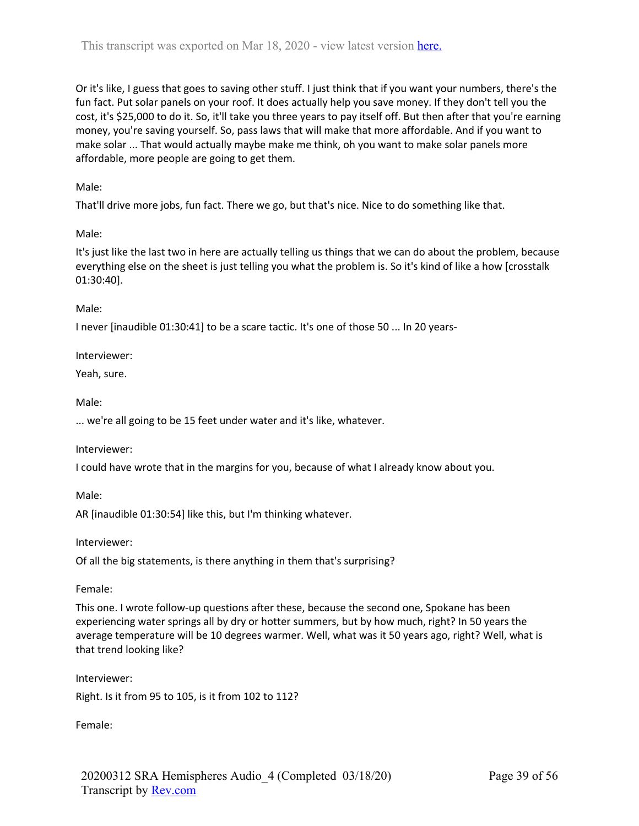Or it's like, I guess that goes to saving other stuff. I just think that if you want your numbers, there's the fun fact. Put solar panels on your roof. It does actually help you save money. If they don't tell you the cost, it's \$25,000 to do it. So, it'll take you three years to pay itself off. But then after that you're earning money, you're saving yourself. So, pass laws that will make that more affordable. And if you want to make solar ... That would actually maybe make me think, oh you want to make solar panels more affordable, more people are going to get them.

Male:

That'll drive more jobs, fun fact. There we go, but that's nice. Nice to do something like that.

Male:

It's just like the last two in here are actually telling us things that we can do about the problem, because everything else on the sheet is just telling you what the problem is. So it's kind of like a how [crosstalk 01:30:40].

Male:

I never [inaudible 01:30:41] to be a scare tactic. It's one of those 50 ... In 20 years-

Interviewer:

Yeah, sure.

Male:

... we're all going to be 15 feet under water and it's like, whatever.

Interviewer:

I could have wrote that in the margins for you, because of what I already know about you.

Male:

AR [inaudible 01:30:54] like this, but I'm thinking whatever.

Interviewer:

Of all the big statements, is there anything in them that's surprising?

Female:

This one. I wrote follow-up questions after these, because the second one, Spokane has been experiencing water springs all by dry or hotter summers, but by how much, right? In 50 years the average temperature will be 10 degrees warmer. Well, what was it 50 years ago, right? Well, what is that trend looking like?

Interviewer:

Right. Is it from 95 to 105, is it from 102 to 112?

Female: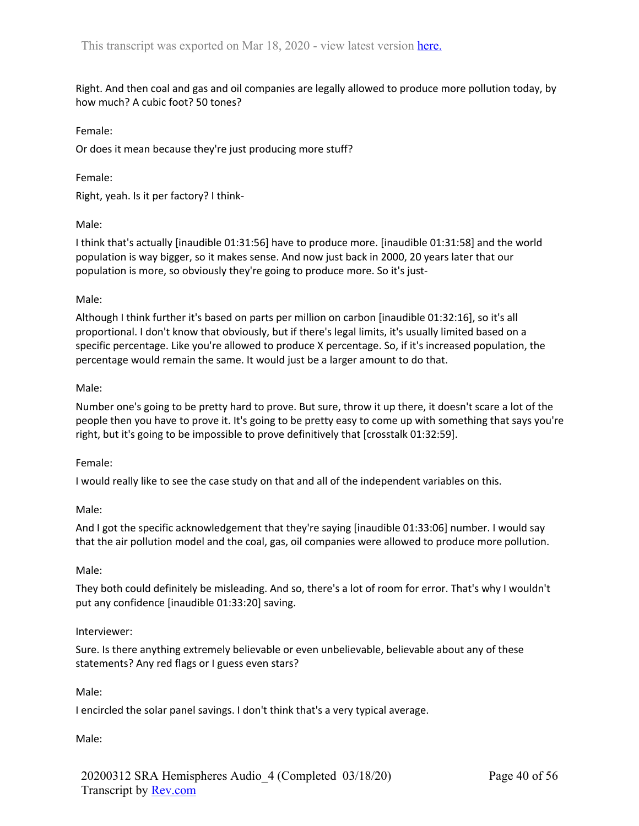Right. And then coal and gas and oil companies are legally allowed to produce more pollution today, by how much? A cubic foot? 50 tones?

## Female:

Or does it mean because they're just producing more stuff?

# Female:

Right, yeah. Is it per factory? I think-

# Male:

I think that's actually [inaudible 01:31:56] have to produce more. [inaudible 01:31:58] and the world population is way bigger, so it makes sense. And now just back in 2000, 20 years later that our population is more, so obviously they're going to produce more. So it's just-

# Male:

Although I think further it's based on parts per million on carbon [inaudible 01:32:16], so it's all proportional. I don't know that obviously, but if there's legal limits, it's usually limited based on a specific percentage. Like you're allowed to produce X percentage. So, if it's increased population, the percentage would remain the same. It would just be a larger amount to do that.

# Male:

Number one's going to be pretty hard to prove. But sure, throw it up there, it doesn't scare a lot of the people then you have to prove it. It's going to be pretty easy to come up with something that says you're right, but it's going to be impossible to prove definitively that [crosstalk 01:32:59].

# Female:

I would really like to see the case study on that and all of the independent variables on this.

# Male:

And I got the specific acknowledgement that they're saying [inaudible 01:33:06] number. I would say that the air pollution model and the coal, gas, oil companies were allowed to produce more pollution.

# Male:

They both could definitely be misleading. And so, there's a lot of room for error. That's why I wouldn't put any confidence [inaudible 01:33:20] saving.

# Interviewer:

Sure. Is there anything extremely believable or even unbelievable, believable about any of these statements? Any red flags or I guess even stars?

# Male:

I encircled the solar panel savings. I don't think that's a very typical average.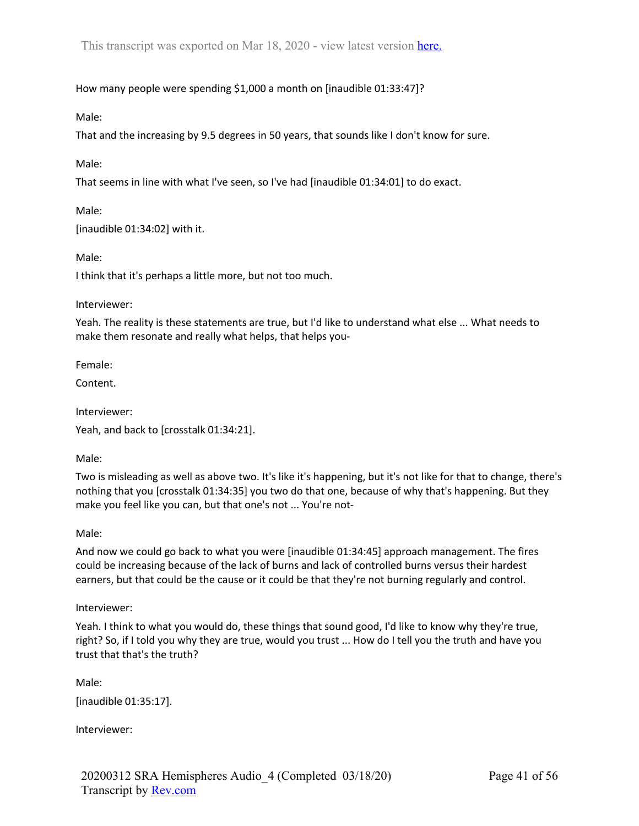How many people were spending \$1,000 a month on [inaudible 01:33:47]?

Male:

That and the increasing by 9.5 degrees in 50 years, that sounds like I don't know for sure.

Male:

That seems in line with what I've seen, so I've had [inaudible 01:34:01] to do exact.

Male: [inaudible 01:34:02] with it.

Male:

I think that it's perhaps a little more, but not too much.

Interviewer:

Yeah. The reality is these statements are true, but I'd like to understand what else ... What needs to make them resonate and really what helps, that helps you-

Female:

Content.

Interviewer:

Yeah, and back to [crosstalk 01:34:21].

Male:

Two is misleading as well as above two. It's like it's happening, but it's not like for that to change, there's nothing that you [crosstalk 01:34:35] you two do that one, because of why that's happening. But they make you feel like you can, but that one's not ... You're not-

Male:

And now we could go back to what you were [inaudible 01:34:45] approach management. The fires could be increasing because of the lack of burns and lack of controlled burns versus their hardest earners, but that could be the cause or it could be that they're not burning regularly and control.

Interviewer:

Yeah. I think to what you would do, these things that sound good, I'd like to know why they're true, right? So, if I told you why they are true, would you trust ... How do I tell you the truth and have you trust that that's the truth?

Male:

[inaudible 01:35:17].

Interviewer: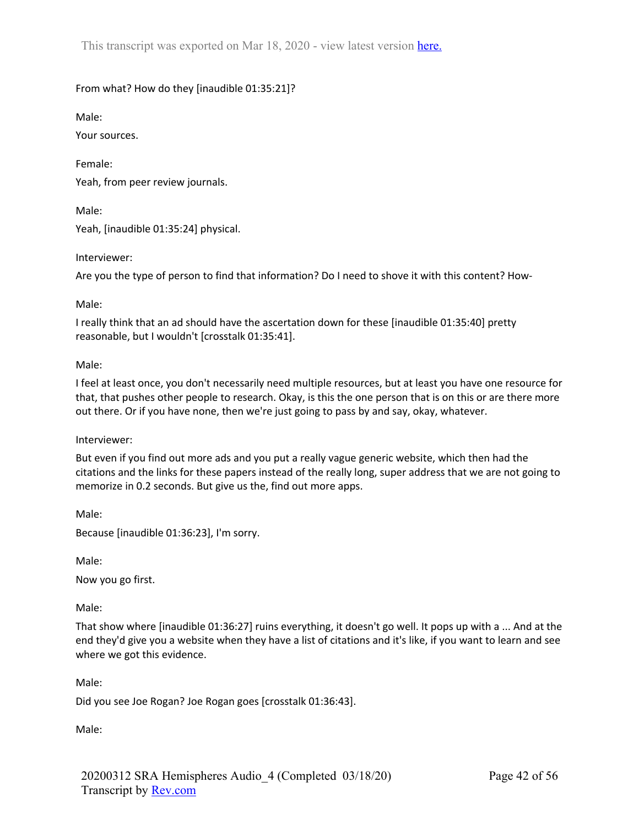# From what? How do they [inaudible 01:35:21]?

Male:

Your sources.

Female: Yeah, from peer review journals.

Male:

Yeah, [inaudible 01:35:24] physical.

Interviewer:

Are you the type of person to find that information? Do I need to shove it with this content? How-

Male:

I really think that an ad should have the ascertation down for these [inaudible 01:35:40] pretty reasonable, but I wouldn't [crosstalk 01:35:41].

## Male:

I feel at least once, you don't necessarily need multiple resources, but at least you have one resource for that, that pushes other people to research. Okay, is this the one person that is on this or are there more out there. Or if you have none, then we're just going to pass by and say, okay, whatever.

Interviewer:

But even if you find out more ads and you put a really vague generic website, which then had the citations and the links for these papers instead of the really long, super address that we are not going to memorize in 0.2 seconds. But give us the, find out more apps.

Male:

Because [inaudible 01:36:23], I'm sorry.

Male:

Now you go first.

Male:

That show where [inaudible 01:36:27] ruins everything, it doesn't go well. It pops up with a ... And at the end they'd give you a website when they have a list of citations and it's like, if you want to learn and see where we got this evidence.

Male:

Did you see Joe Rogan? Joe Rogan goes [crosstalk 01:36:43].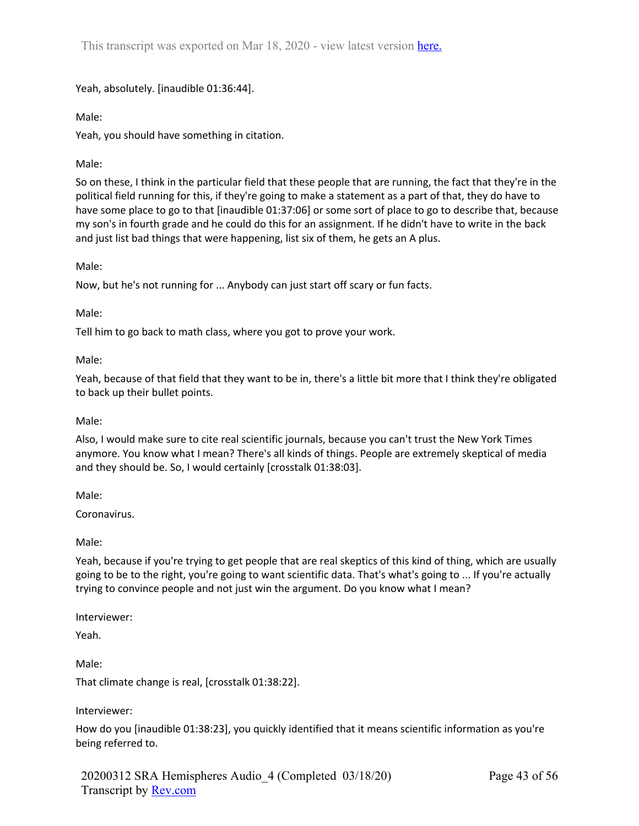Yeah, absolutely. [inaudible 01:36:44].

Male:

Yeah, you should have something in citation.

# Male:

So on these, I think in the particular field that these people that are running, the fact that they're in the political field running for this, if they're going to make a statement as a part of that, they do have to have some place to go to that [inaudible 01:37:06] or some sort of place to go to describe that, because my son's in fourth grade and he could do this for an assignment. If he didn't have to write in the back and just list bad things that were happening, list six of them, he gets an A plus.

# Male:

Now, but he's not running for ... Anybody can just start off scary or fun facts.

## Male:

Tell him to go back to math class, where you got to prove your work.

## Male:

Yeah, because of that field that they want to be in, there's a little bit more that I think they're obligated to back up their bullet points.

# Male:

Also, I would make sure to cite real scientific journals, because you can't trust the New York Times anymore. You know what I mean? There's all kinds of things. People are extremely skeptical of media and they should be. So, I would certainly [crosstalk 01:38:03].

Male:

Coronavirus.

Male:

Yeah, because if you're trying to get people that are real skeptics of this kind of thing, which are usually going to be to the right, you're going to want scientific data. That's what's going to ... If you're actually trying to convince people and not just win the argument. Do you know what I mean?

Interviewer:

Yeah.

Male:

That climate change is real, [crosstalk 01:38:22].

Interviewer:

How do you [inaudible 01:38:23], you quickly identified that it means scientific information as you're being referred to.

20200312 SRA Hemispheres Audio\_4 (Completed 03/18/20) Transcript by Rev.com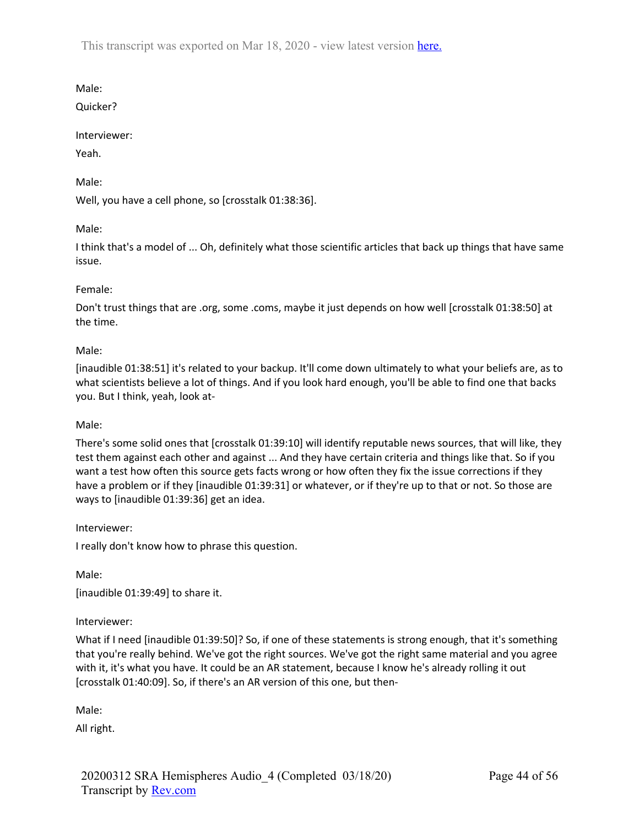Male:

Quicker?

# Interviewer:

Yeah.

Male:

Well, you have a cell phone, so [crosstalk 01:38:36].

# Male:

I think that's a model of ... Oh, definitely what those scientific articles that back up things that have same issue.

# Female:

Don't trust things that are .org, some .coms, maybe it just depends on how well [crosstalk 01:38:50] at the time.

# Male:

[inaudible 01:38:51] it's related to your backup. It'll come down ultimately to what your beliefs are, as to what scientists believe a lot of things. And if you look hard enough, you'll be able to find one that backs you. But I think, yeah, look at-

# Male:

There's some solid ones that [crosstalk 01:39:10] will identify reputable news sources, that will like, they test them against each other and against ... And they have certain criteria and things like that. So if you want a test how often this source gets facts wrong or how often they fix the issue corrections if they have a problem or if they [inaudible 01:39:31] or whatever, or if they're up to that or not. So those are ways to [inaudible 01:39:36] get an idea.

Interviewer:

I really don't know how to phrase this question.

Male:

[inaudible 01:39:49] to share it.

# Interviewer:

What if I need [inaudible 01:39:50]? So, if one of these statements is strong enough, that it's something that you're really behind. We've got the right sources. We've got the right same material and you agree with it, it's what you have. It could be an AR statement, because I know he's already rolling it out [crosstalk 01:40:09]. So, if there's an AR version of this one, but then-

Male:

All right.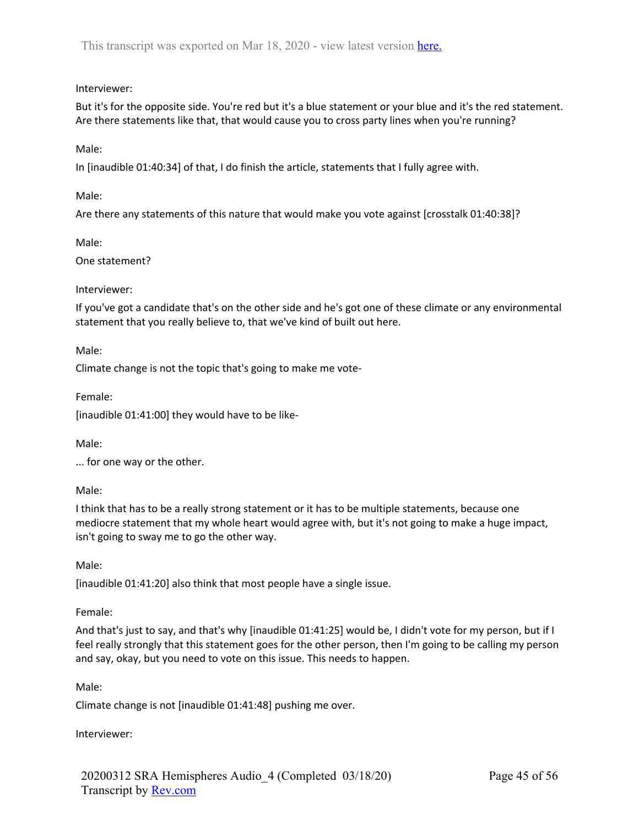# Interviewer:

But it's for the opposite side. You're red but it's a blue statement or your blue and it's the red statement. Are there statements like that, that would cause you to cross party lines when you're running?

Male:

In [inaudible 01:40:34] of that, I do finish the article, statements that I fully agree with.

Male:

Are there any statements of this nature that would make you vote against [crosstalk 01:40:38]?

Male:

One statement?

## Interviewer:

If you've got a candidate that's on the other side and he's got one of these climate or any environmental statement that you really believe to, that we've kind of built out here.

Male:

Climate change is not the topic that's going to make me vote-

Female:

[inaudible 01:41:00] they would have to be like-

Male:

... for one way or the other.

Male:

I think that has to be a really strong statement or it has to be multiple statements, because one mediocre statement that my whole heart would agree with, but it's not going to make a huge impact, isn't going to sway me to go the other way.

Male:

[inaudible 01:41:20] also think that most people have a single issue.

Female:

And that's just to say, and that's why [inaudible 01:41:25] would be, I didn't vote for my person, but if I feel really strongly that this statement goes for the other person, then I'm going to be calling my person and say, okay, but you need to vote on this issue. This needs to happen.

Male:

Climate change is not [inaudible 01:41:48] pushing me over.

Interviewer: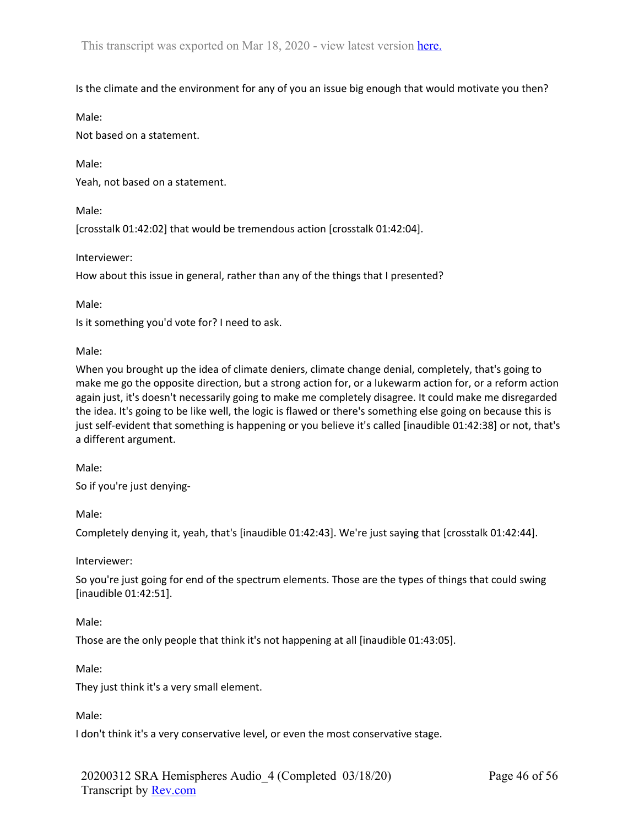Is the climate and the environment for any of you an issue big enough that would motivate you then?

Male:

Not based on a statement.

Male:

Yeah, not based on a statement.

Male:

[crosstalk 01:42:02] that would be tremendous action [crosstalk 01:42:04].

Interviewer:

How about this issue in general, rather than any of the things that I presented?

Male:

Is it something you'd vote for? I need to ask.

Male:

When you brought up the idea of climate deniers, climate change denial, completely, that's going to make me go the opposite direction, but a strong action for, or a lukewarm action for, or a reform action again just, it's doesn't necessarily going to make me completely disagree. It could make me disregarded the idea. It's going to be like well, the logic is flawed or there's something else going on because this is just self-evident that something is happening or you believe it's called [inaudible 01:42:38] or not, that's a different argument.

Male:

So if you're just denying-

Male:

Completely denying it, yeah, that's [inaudible 01:42:43]. We're just saying that [crosstalk 01:42:44].

Interviewer:

So you're just going for end of the spectrum elements. Those are the types of things that could swing [inaudible 01:42:51].

Male:

Those are the only people that think it's not happening at all [inaudible 01:43:05].

Male:

They just think it's a very small element.

Male:

I don't think it's a very conservative level, or even the most conservative stage.

20200312 SRA Hemispheres Audio\_4 (Completed 03/18/20) Transcript by Rev.com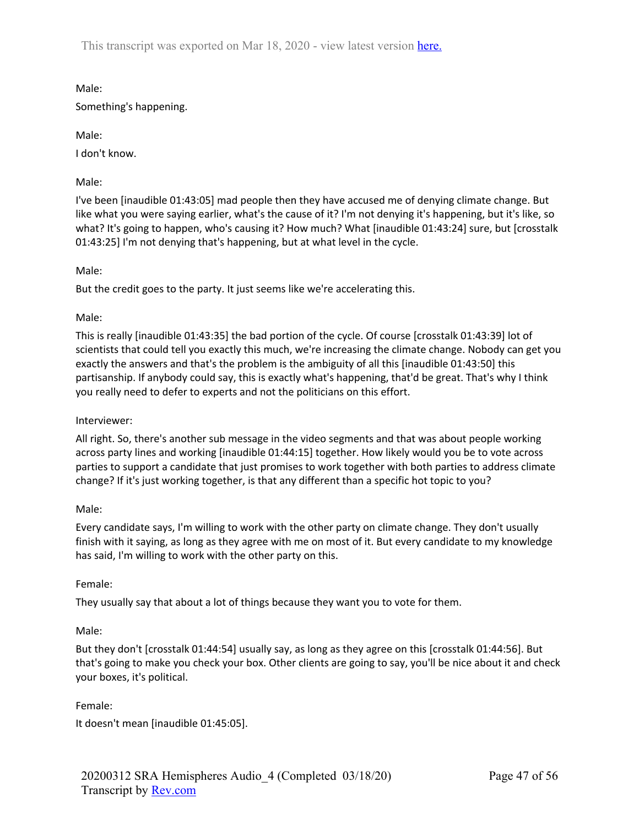Male: Something's happening.

Male:

I don't know.

Male:

I've been [inaudible 01:43:05] mad people then they have accused me of denying climate change. But like what you were saying earlier, what's the cause of it? I'm not denying it's happening, but it's like, so what? It's going to happen, who's causing it? How much? What [inaudible 01:43:24] sure, but [crosstalk 01:43:25] I'm not denying that's happening, but at what level in the cycle.

Male:

But the credit goes to the party. It just seems like we're accelerating this.

Male:

This is really [inaudible 01:43:35] the bad portion of the cycle. Of course [crosstalk 01:43:39] lot of scientists that could tell you exactly this much, we're increasing the climate change. Nobody can get you exactly the answers and that's the problem is the ambiguity of all this [inaudible 01:43:50] this partisanship. If anybody could say, this is exactly what's happening, that'd be great. That's why I think you really need to defer to experts and not the politicians on this effort.

### Interviewer:

All right. So, there's another sub message in the video segments and that was about people working across party lines and working [inaudible 01:44:15] together. How likely would you be to vote across parties to support a candidate that just promises to work together with both parties to address climate change? If it's just working together, is that any different than a specific hot topic to you?

### Male:

Every candidate says, I'm willing to work with the other party on climate change. They don't usually finish with it saying, as long as they agree with me on most of it. But every candidate to my knowledge has said, I'm willing to work with the other party on this.

### Female:

They usually say that about a lot of things because they want you to vote for them.

### Male:

But they don't [crosstalk 01:44:54] usually say, as long as they agree on this [crosstalk 01:44:56]. But that's going to make you check your box. Other clients are going to say, you'll be nice about it and check your boxes, it's political.

Female:

It doesn't mean [inaudible 01:45:05].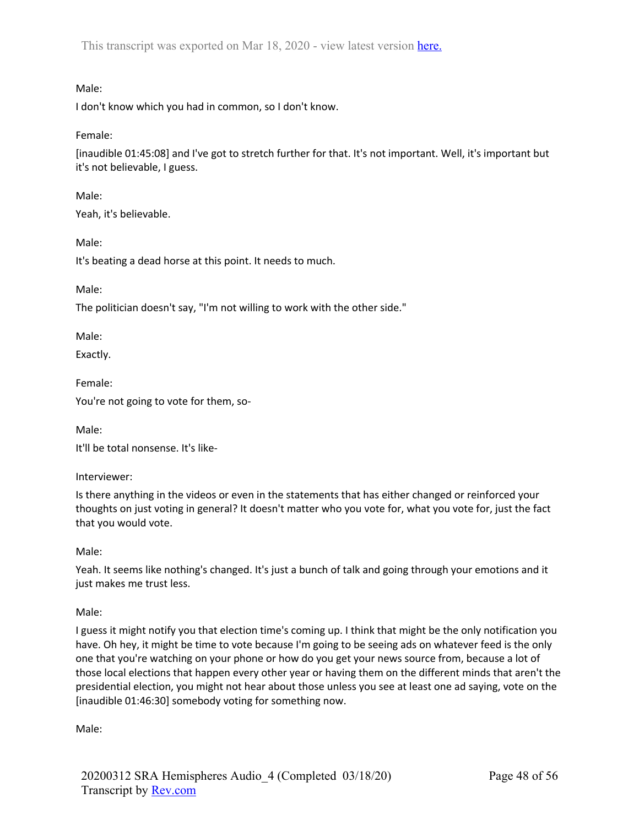# Male:

I don't know which you had in common, so I don't know.

Female:

[inaudible 01:45:08] and I've got to stretch further for that. It's not important. Well, it's important but it's not believable, I guess.

Male:

Yeah, it's believable.

Male:

It's beating a dead horse at this point. It needs to much.

Male:

The politician doesn't say, "I'm not willing to work with the other side."

Male:

Exactly.

Female:

You're not going to vote for them, so-

Male:

It'll be total nonsense. It's like-

Interviewer:

Is there anything in the videos or even in the statements that has either changed or reinforced your thoughts on just voting in general? It doesn't matter who you vote for, what you vote for, just the fact that you would vote.

Male:

Yeah. It seems like nothing's changed. It's just a bunch of talk and going through your emotions and it just makes me trust less.

Male:

I guess it might notify you that election time's coming up. I think that might be the only notification you have. Oh hey, it might be time to vote because I'm going to be seeing ads on whatever feed is the only one that you're watching on your phone or how do you get your news source from, because a lot of those local elections that happen every other year or having them on the different minds that aren't the presidential election, you might not hear about those unless you see at least one ad saying, vote on the [inaudible 01:46:30] somebody voting for something now.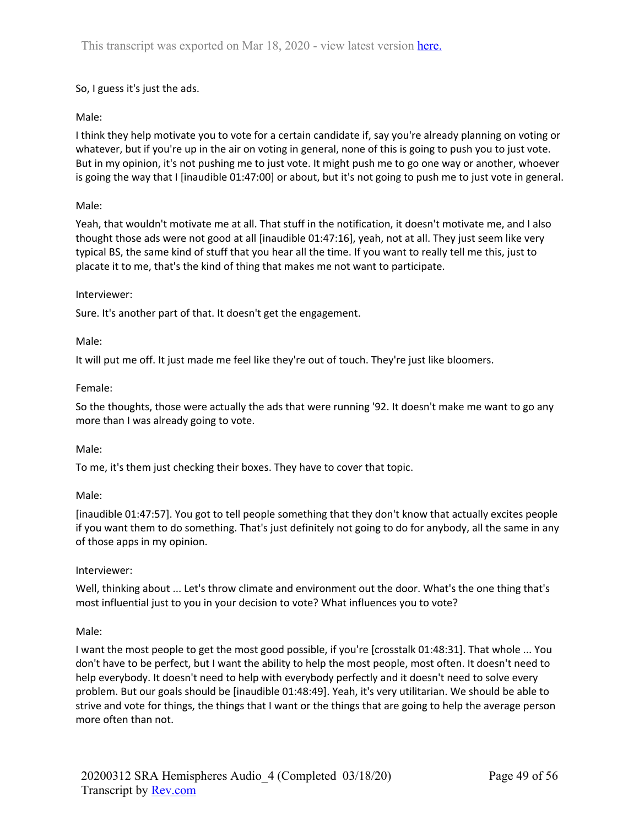# So, I guess it's just the ads.

# Male:

I think they help motivate you to vote for a certain candidate if, say you're already planning on voting or whatever, but if you're up in the air on voting in general, none of this is going to push you to just vote. But in my opinion, it's not pushing me to just vote. It might push me to go one way or another, whoever is going the way that I [inaudible 01:47:00] or about, but it's not going to push me to just vote in general.

# Male:

Yeah, that wouldn't motivate me at all. That stuff in the notification, it doesn't motivate me, and I also thought those ads were not good at all [inaudible 01:47:16], yeah, not at all. They just seem like very typical BS, the same kind of stuff that you hear all the time. If you want to really tell me this, just to placate it to me, that's the kind of thing that makes me not want to participate.

## Interviewer:

Sure. It's another part of that. It doesn't get the engagement.

## Male:

It will put me off. It just made me feel like they're out of touch. They're just like bloomers.

## Female:

So the thoughts, those were actually the ads that were running '92. It doesn't make me want to go any more than I was already going to vote.

### Male:

To me, it's them just checking their boxes. They have to cover that topic.

# Male:

[inaudible 01:47:57]. You got to tell people something that they don't know that actually excites people if you want them to do something. That's just definitely not going to do for anybody, all the same in any of those apps in my opinion.

# Interviewer:

Well, thinking about ... Let's throw climate and environment out the door. What's the one thing that's most influential just to you in your decision to vote? What influences you to vote?

# Male:

I want the most people to get the most good possible, if you're [crosstalk 01:48:31]. That whole ... You don't have to be perfect, but I want the ability to help the most people, most often. It doesn't need to help everybody. It doesn't need to help with everybody perfectly and it doesn't need to solve every problem. But our goals should be [inaudible 01:48:49]. Yeah, it's very utilitarian. We should be able to strive and vote for things, the things that I want or the things that are going to help the average person more often than not.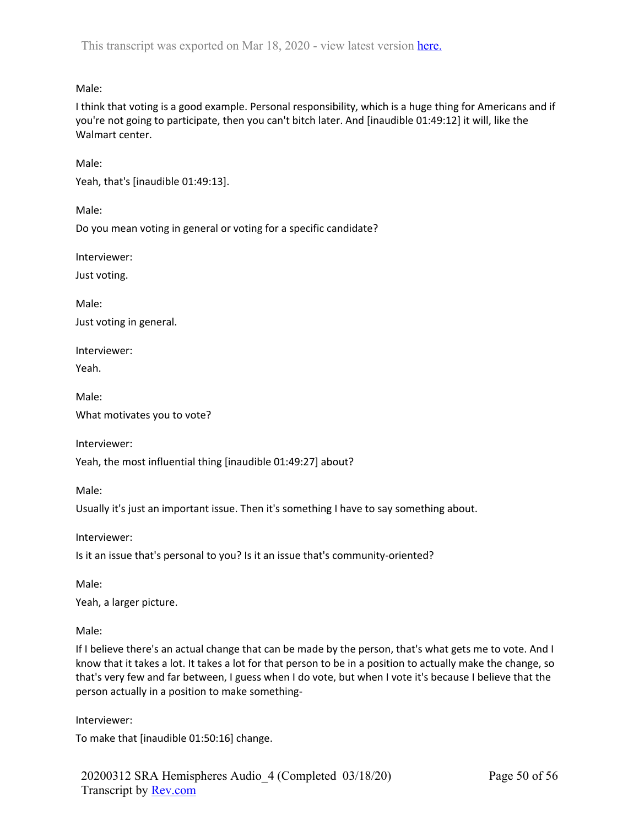Male:

I think that voting is a good example. Personal responsibility, which is a huge thing for Americans and if you're not going to participate, then you can't bitch later. And [inaudible 01:49:12] it will, like the Walmart center.

Male:

Yeah, that's [inaudible 01:49:13].

Male:

Do you mean voting in general or voting for a specific candidate?

Interviewer:

Just voting.

Male:

Just voting in general.

Interviewer:

Yeah.

Male:

What motivates you to vote?

Interviewer:

Yeah, the most influential thing [inaudible 01:49:27] about?

Male:

Usually it's just an important issue. Then it's something I have to say something about.

Interviewer:

Is it an issue that's personal to you? Is it an issue that's community-oriented?

Male:

Yeah, a larger picture.

Male:

If I believe there's an actual change that can be made by the person, that's what gets me to vote. And I know that it takes a lot. It takes a lot for that person to be in a position to actually make the change, so that's very few and far between, I guess when I do vote, but when I vote it's because I believe that the person actually in a position to make something-

Interviewer:

To make that [inaudible 01:50:16] change.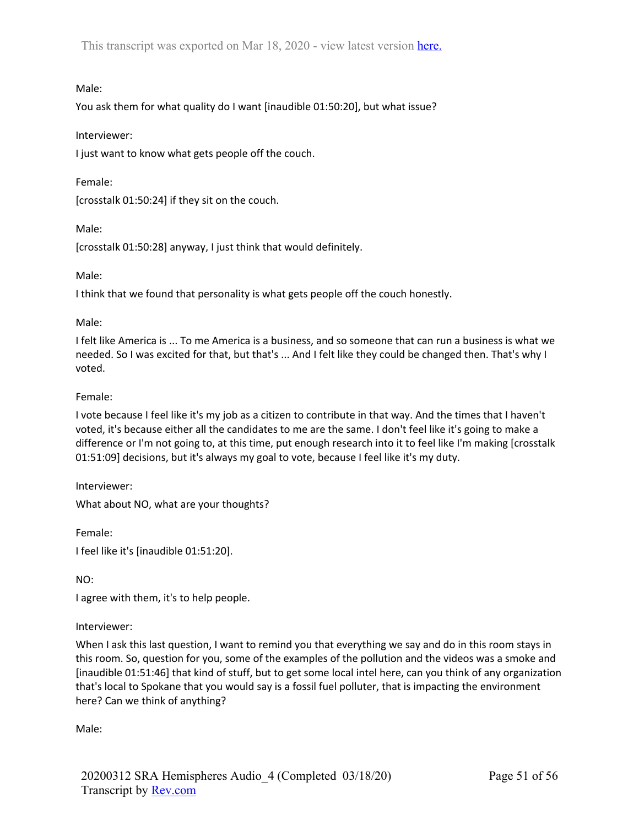Male:

You ask them for what quality do I want [inaudible 01:50:20], but what issue?

## Interviewer:

I just want to know what gets people off the couch.

Female:

[crosstalk 01:50:24] if they sit on the couch.

Male:

[crosstalk 01:50:28] anyway, I just think that would definitely.

Male:

I think that we found that personality is what gets people off the couch honestly.

### Male:

I felt like America is ... To me America is a business, and so someone that can run a business is what we needed. So I was excited for that, but that's ... And I felt like they could be changed then. That's why I voted.

## Female:

I vote because I feel like it's my job as a citizen to contribute in that way. And the times that I haven't voted, it's because either all the candidates to me are the same. I don't feel like it's going to make a difference or I'm not going to, at this time, put enough research into it to feel like I'm making [crosstalk 01:51:09] decisions, but it's always my goal to vote, because I feel like it's my duty.

Interviewer:

What about NO, what are your thoughts?

Female: I feel like it's [inaudible 01:51:20].

NO:

I agree with them, it's to help people.

### Interviewer:

When I ask this last question, I want to remind you that everything we say and do in this room stays in this room. So, question for you, some of the examples of the pollution and the videos was a smoke and [inaudible 01:51:46] that kind of stuff, but to get some local intel here, can you think of any organization that's local to Spokane that you would say is a fossil fuel polluter, that is impacting the environment here? Can we think of anything?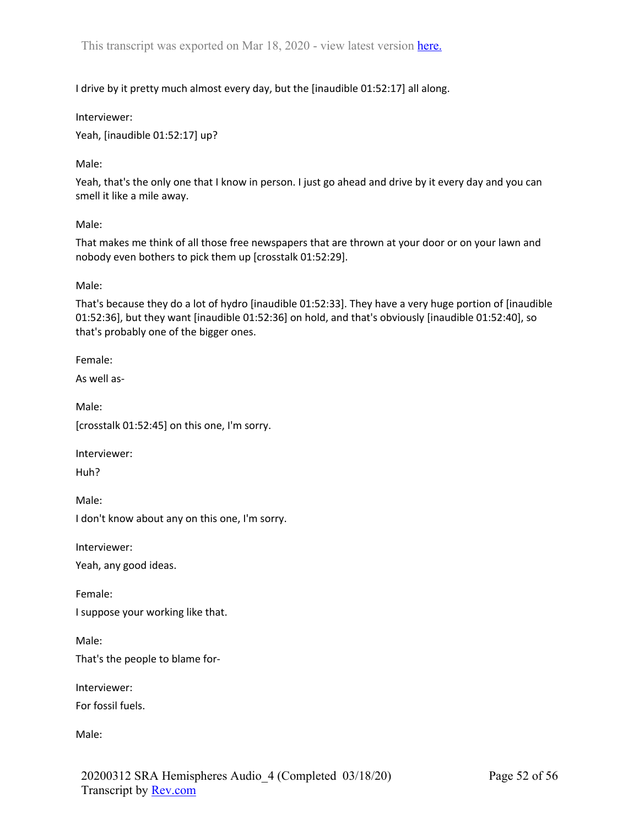I drive by it pretty much almost every day, but the [inaudible 01:52:17] all along.

Interviewer:

Yeah, [inaudible 01:52:17] up?

Male:

Yeah, that's the only one that I know in person. I just go ahead and drive by it every day and you can smell it like a mile away.

Male:

That makes me think of all those free newspapers that are thrown at your door or on your lawn and nobody even bothers to pick them up [crosstalk 01:52:29].

Male:

That's because they do a lot of hydro [inaudible 01:52:33]. They have a very huge portion of [inaudible 01:52:36], but they want [inaudible 01:52:36] on hold, and that's obviously [inaudible 01:52:40], so that's probably one of the bigger ones.

Female:

As well as-

Male: [crosstalk 01:52:45] on this one, I'm sorry.

Interviewer:

Huh?

Male: I don't know about any on this one, I'm sorry.

Interviewer:

Yeah, any good ideas.

Female:

I suppose your working like that.

Male: That's the people to blame for-

Interviewer: For fossil fuels.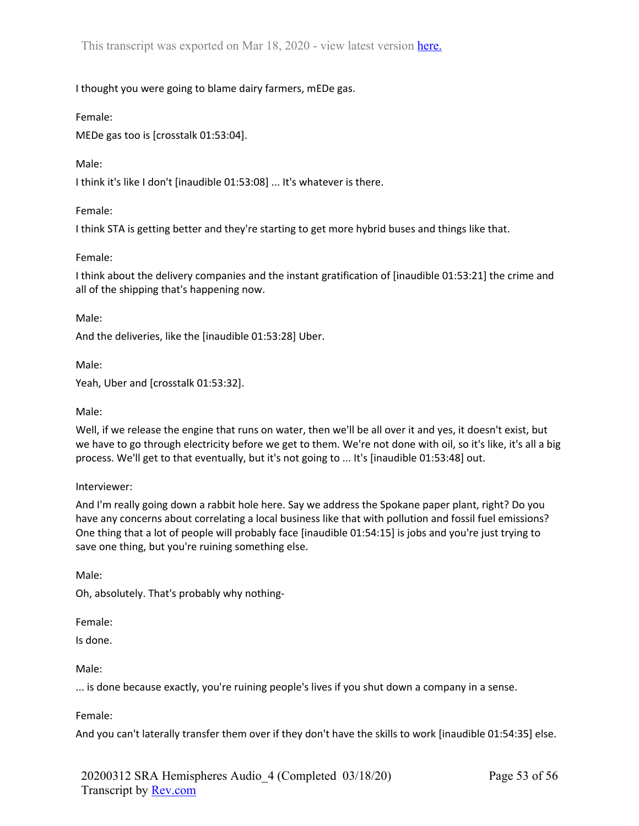I thought you were going to blame dairy farmers, mEDe gas.

Female:

MEDe gas too is [crosstalk 01:53:04].

Male:

I think it's like I don't [inaudible 01:53:08] ... It's whatever is there.

Female:

I think STA is getting better and they're starting to get more hybrid buses and things like that.

Female:

I think about the delivery companies and the instant gratification of [inaudible 01:53:21] the crime and all of the shipping that's happening now.

Male:

And the deliveries, like the [inaudible 01:53:28] Uber.

Male:

Yeah, Uber and [crosstalk 01:53:32].

Male:

Well, if we release the engine that runs on water, then we'll be all over it and yes, it doesn't exist, but we have to go through electricity before we get to them. We're not done with oil, so it's like, it's all a big process. We'll get to that eventually, but it's not going to ... It's [inaudible 01:53:48] out.

Interviewer:

And I'm really going down a rabbit hole here. Say we address the Spokane paper plant, right? Do you have any concerns about correlating a local business like that with pollution and fossil fuel emissions? One thing that a lot of people will probably face [inaudible 01:54:15] is jobs and you're just trying to save one thing, but you're ruining something else.

Male:

Oh, absolutely. That's probably why nothing-

Female:

Is done.

Male:

... is done because exactly, you're ruining people's lives if you shut down a company in a sense.

Female:

And you can't laterally transfer them over if they don't have the skills to work [inaudible 01:54:35] else.

20200312 SRA Hemispheres Audio\_4 (Completed 03/18/20) Transcript by Rev.com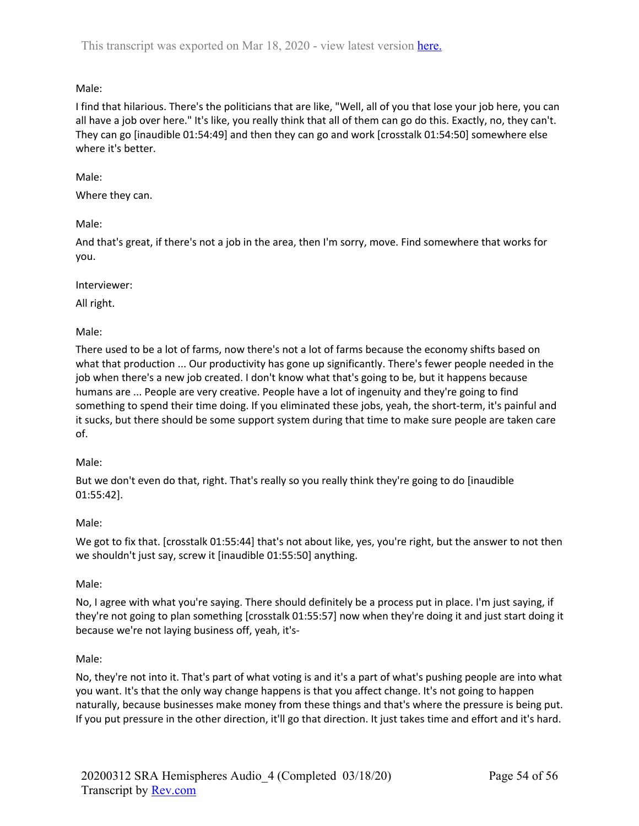# Male:

I find that hilarious. There's the politicians that are like, "Well, all of you that lose your job here, you can all have a job over here." It's like, you really think that all of them can go do this. Exactly, no, they can't. They can go [inaudible 01:54:49] and then they can go and work [crosstalk 01:54:50] somewhere else where it's better.

# Male:

Where they can.

# Male:

And that's great, if there's not a job in the area, then I'm sorry, move. Find somewhere that works for you.

# Interviewer:

All right.

# Male:

There used to be a lot of farms, now there's not a lot of farms because the economy shifts based on what that production ... Our productivity has gone up significantly. There's fewer people needed in the job when there's a new job created. I don't know what that's going to be, but it happens because humans are ... People are very creative. People have a lot of ingenuity and they're going to find something to spend their time doing. If you eliminated these jobs, yeah, the short-term, it's painful and it sucks, but there should be some support system during that time to make sure people are taken care of.

# Male:

But we don't even do that, right. That's really so you really think they're going to do [inaudible 01:55:42].

# Male:

We got to fix that. [crosstalk 01:55:44] that's not about like, yes, you're right, but the answer to not then we shouldn't just say, screw it [inaudible 01:55:50] anything.

# Male:

No, I agree with what you're saying. There should definitely be a process put in place. I'm just saying, if they're not going to plan something [crosstalk 01:55:57] now when they're doing it and just start doing it because we're not laying business off, yeah, it's-

# Male:

No, they're not into it. That's part of what voting is and it's a part of what's pushing people are into what you want. It's that the only way change happens is that you affect change. It's not going to happen naturally, because businesses make money from these things and that's where the pressure is being put. If you put pressure in the other direction, it'll go that direction. It just takes time and effort and it's hard.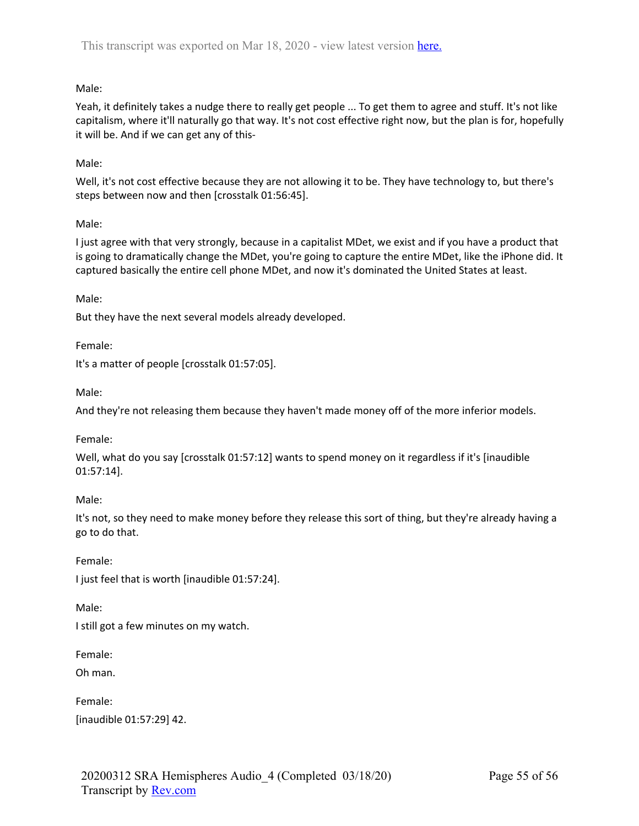# Male:

Yeah, it definitely takes a nudge there to really get people ... To get them to agree and stuff. It's not like capitalism, where it'll naturally go that way. It's not cost effective right now, but the plan is for, hopefully it will be. And if we can get any of this-

# Male:

Well, it's not cost effective because they are not allowing it to be. They have technology to, but there's steps between now and then [crosstalk 01:56:45].

# Male:

I just agree with that very strongly, because in a capitalist MDet, we exist and if you have a product that is going to dramatically change the MDet, you're going to capture the entire MDet, like the iPhone did. It captured basically the entire cell phone MDet, and now it's dominated the United States at least.

Male:

But they have the next several models already developed.

Female:

It's a matter of people [crosstalk 01:57:05].

Male:

And they're not releasing them because they haven't made money off of the more inferior models.

Female:

Well, what do you say [crosstalk 01:57:12] wants to spend money on it regardless if it's [inaudible 01:57:14].

Male:

It's not, so they need to make money before they release this sort of thing, but they're already having a go to do that.

Female: I just feel that is worth [inaudible 01:57:24].

Male:

I still got a few minutes on my watch.

Female:

Oh man.

Female: [inaudible 01:57:29] 42.